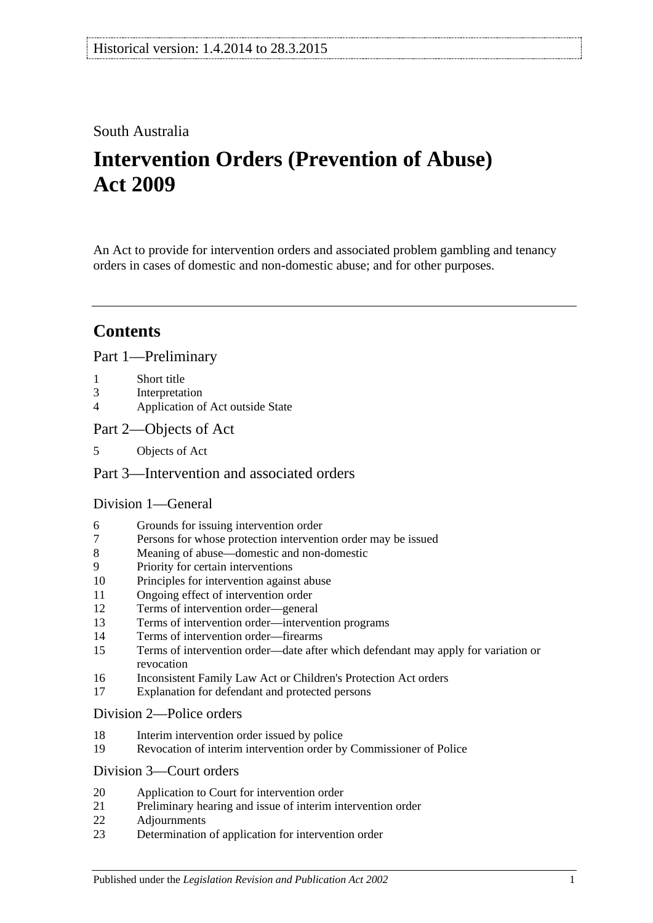## South Australia

# **Intervention Orders (Prevention of Abuse) Act 2009**

An Act to provide for intervention orders and associated problem gambling and tenancy orders in cases of domestic and non-domestic abuse; and for other purposes.

# **Contents**

## [Part 1—Preliminary](#page-2-0)

- 1 [Short title](#page-2-1)
- 3 [Interpretation](#page-2-2)
- 4 [Application of Act outside State](#page-3-0)
- [Part 2—Objects of Act](#page-4-0)
- 5 [Objects of Act](#page-4-1)

## [Part 3—Intervention and associated orders](#page-4-2)

## [Division 1—General](#page-4-3)

- 6 [Grounds for issuing intervention order](#page-4-4)
- 7 [Persons for whose protection intervention order may be issued](#page-4-5)
- 8 [Meaning of abuse—domestic and non-domestic](#page-5-0)
- 9 [Priority for certain interventions](#page-7-0)
- 10 [Principles for intervention against abuse](#page-8-0)
- 11 [Ongoing effect of intervention order](#page-9-0)
- 12 [Terms of intervention order—general](#page-9-1)
- 13 [Terms of intervention order—intervention programs](#page-10-0)
- 14 [Terms of intervention order—firearms](#page-11-0)
- 15 [Terms of intervention order—date after which defendant may apply for variation or](#page-11-1)  [revocation](#page-11-1)
- 16 [Inconsistent Family Law Act or Children's Protection Act orders](#page-11-2)
- 17 [Explanation for defendant and protected persons](#page-12-0)

#### [Division 2—Police orders](#page-12-1)

- 18 [Interim intervention order issued by police](#page-12-2)
- 19 [Revocation of interim intervention order by Commissioner of Police](#page-13-0)

## [Division 3—Court orders](#page-13-1)

- 20 [Application to Court for intervention order](#page-13-2)
- 21 [Preliminary hearing and issue of interim intervention order](#page-14-0)
- 22 [Adjournments](#page-15-0)
- 23 [Determination of application for intervention order](#page-16-0)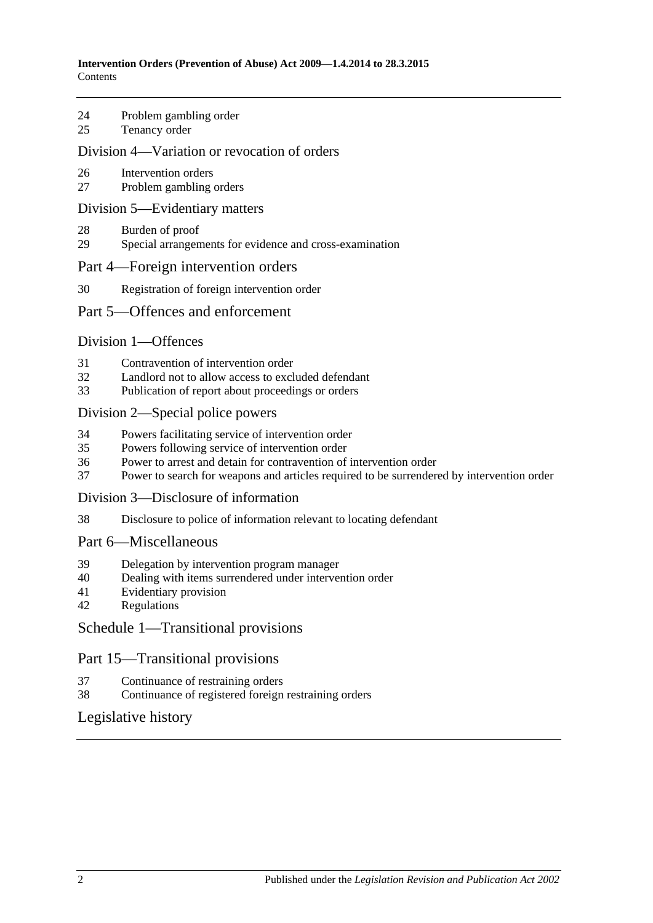- 24 [Problem gambling order](#page-17-0)
- 25 [Tenancy order](#page-17-1)

#### [Division 4—Variation or revocation of orders](#page-19-0)

- 26 [Intervention orders](#page-19-1)
- 27 [Problem gambling orders](#page-20-0)

#### [Division 5—Evidentiary matters](#page-20-1)

- 28 [Burden of proof](#page-20-2)
- 29 [Special arrangements for evidence and cross-examination](#page-20-3)

#### [Part 4—Foreign intervention orders](#page-21-0)

30 [Registration of foreign intervention order](#page-21-1)

#### [Part 5—Offences and enforcement](#page-22-0)

#### [Division 1—Offences](#page-22-1)

- 31 [Contravention of intervention order](#page-22-2)
- 32 [Landlord not to allow access to excluded defendant](#page-22-3)<br>33 Publication of report about proceedings or orders
- [Publication of report about proceedings or orders](#page-23-0)

#### [Division 2—Special police powers](#page-23-1)

- 34 [Powers facilitating service of intervention order](#page-23-2)
- 35 [Powers following service of intervention order](#page-24-0)
- 36 [Power to arrest and detain for contravention of intervention order](#page-24-1)
- 37 [Power to search for weapons and articles required to be surrendered by intervention order](#page-25-0)

#### [Division 3—Disclosure of information](#page-25-1)

38 [Disclosure to police of information relevant to locating defendant](#page-25-2)

#### [Part 6—Miscellaneous](#page-25-3)

- 39 [Delegation by intervention program manager](#page-25-4)
- 40 [Dealing with items surrendered under intervention order](#page-26-0)
- 41 [Evidentiary provision](#page-26-1)
- 42 [Regulations](#page-26-2)

#### [Schedule 1—Transitional provisions](#page-26-3)

#### Part 15—Transitional provisions

- 37 [Continuance of restraining orders](#page-26-4)
- 38 [Continuance of registered foreign restraining orders](#page-26-5)

#### [Legislative history](#page-27-0)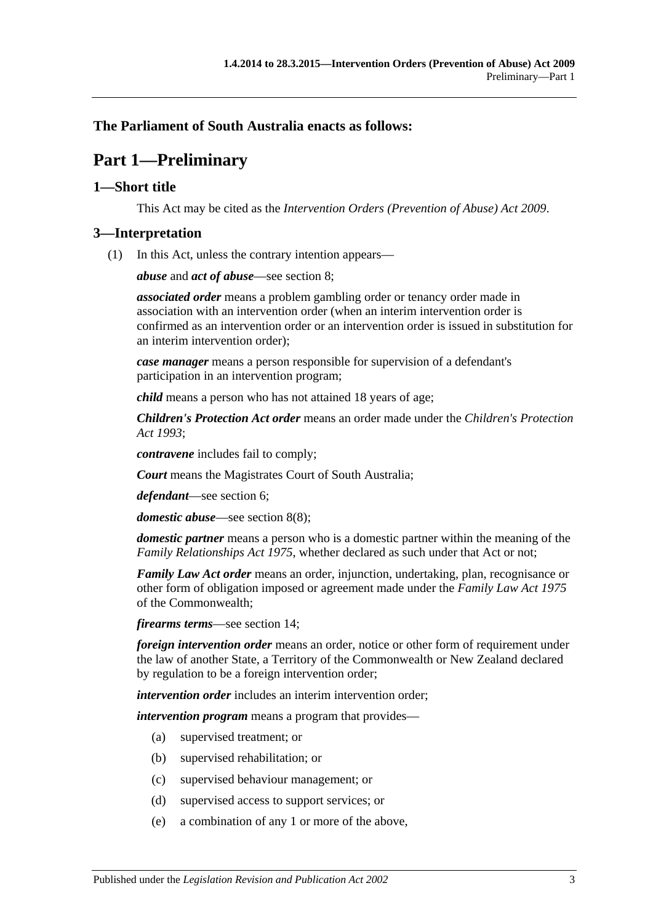## <span id="page-2-0"></span>**The Parliament of South Australia enacts as follows:**

# **Part 1—Preliminary**

## <span id="page-2-1"></span>**1—Short title**

This Act may be cited as the *Intervention Orders (Prevention of Abuse) Act 2009*.

#### <span id="page-2-2"></span>**3—Interpretation**

(1) In this Act, unless the contrary intention appears—

*abuse* and *act of abuse*—see [section](#page-5-0) 8;

*associated order* means a problem gambling order or tenancy order made in association with an intervention order (when an interim intervention order is confirmed as an intervention order or an intervention order is issued in substitution for an interim intervention order);

*case manager* means a person responsible for supervision of a defendant's participation in an intervention program;

*child* means a person who has not attained 18 years of age;

*Children's Protection Act order* means an order made under the *[Children's Protection](http://www.legislation.sa.gov.au/index.aspx?action=legref&type=act&legtitle=Childrens%20Protection%20Act%201993)  Act [1993](http://www.legislation.sa.gov.au/index.aspx?action=legref&type=act&legtitle=Childrens%20Protection%20Act%201993)*;

*contravene* includes fail to comply;

*Court* means the Magistrates Court of South Australia;

*defendant*—see [section](#page-4-4) 6;

*domestic abuse*—see [section](#page-7-1) 8(8);

*domestic partner* means a person who is a domestic partner within the meaning of the *[Family Relationships Act](http://www.legislation.sa.gov.au/index.aspx?action=legref&type=act&legtitle=Family%20Relationships%20Act%201975) 1975*, whether declared as such under that Act or not;

*Family Law Act order* means an order, injunction, undertaking, plan, recognisance or other form of obligation imposed or agreement made under the *Family Law Act 1975* of the Commonwealth;

*firearms terms*—see [section](#page-11-0) 14;

*foreign intervention order* means an order, notice or other form of requirement under the law of another State, a Territory of the Commonwealth or New Zealand declared by regulation to be a foreign intervention order;

*intervention order* includes an interim intervention order;

*intervention program* means a program that provides—

- (a) supervised treatment; or
- (b) supervised rehabilitation; or
- (c) supervised behaviour management; or
- (d) supervised access to support services; or
- (e) a combination of any 1 or more of the above,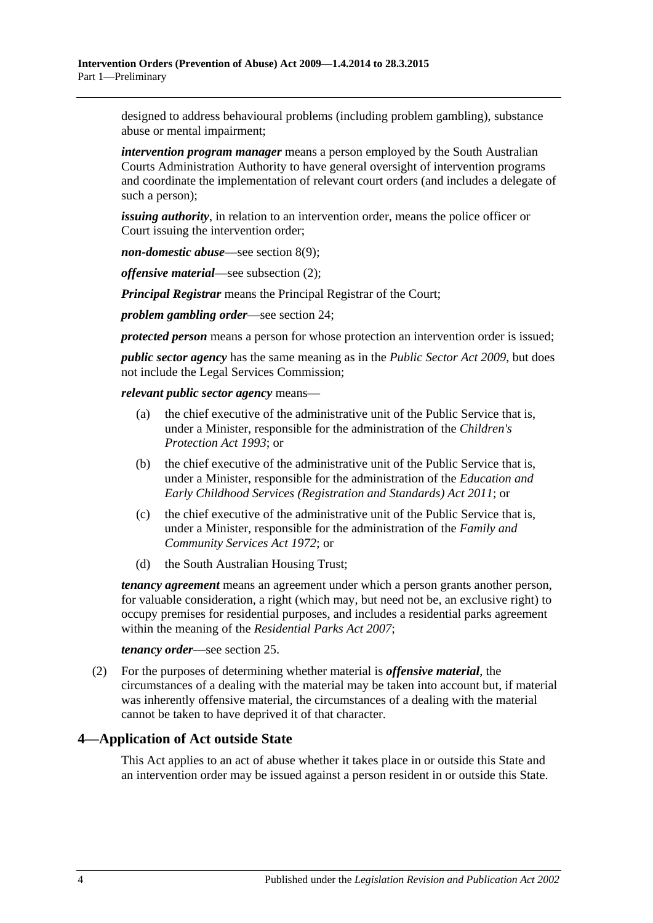designed to address behavioural problems (including problem gambling), substance abuse or mental impairment;

*intervention program manager* means a person employed by the South Australian Courts Administration Authority to have general oversight of intervention programs and coordinate the implementation of relevant court orders (and includes a delegate of such a person);

*issuing authority*, in relation to an intervention order, means the police officer or Court issuing the intervention order;

*non-domestic abuse*—see [section](#page-7-2) 8(9);

*offensive material*—see [subsection](#page-3-1) (2);

*Principal Registrar* means the Principal Registrar of the Court;

*problem gambling order*—see [section](#page-17-0) 24;

*protected person* means a person for whose protection an intervention order is issued;

*public sector agency* has the same meaning as in the *[Public Sector Act](http://www.legislation.sa.gov.au/index.aspx?action=legref&type=act&legtitle=Public%20Sector%20Act%202009) 2009*, but does not include the Legal Services Commission;

*relevant public sector agency* means—

- (a) the chief executive of the administrative unit of the Public Service that is, under a Minister, responsible for the administration of the *[Children's](http://www.legislation.sa.gov.au/index.aspx?action=legref&type=act&legtitle=Childrens%20Protection%20Act%201993)  [Protection Act](http://www.legislation.sa.gov.au/index.aspx?action=legref&type=act&legtitle=Childrens%20Protection%20Act%201993) 1993*; or
- (b) the chief executive of the administrative unit of the Public Service that is, under a Minister, responsible for the administration of the *[Education and](http://www.legislation.sa.gov.au/index.aspx?action=legref&type=act&legtitle=Education%20and%20Early%20Childhood%20Services%20(Registration%20and%20Standards)%20Act%202011)  [Early Childhood Services \(Registration and Standards\) Act](http://www.legislation.sa.gov.au/index.aspx?action=legref&type=act&legtitle=Education%20and%20Early%20Childhood%20Services%20(Registration%20and%20Standards)%20Act%202011) 2011*; or
- (c) the chief executive of the administrative unit of the Public Service that is, under a Minister, responsible for the administration of the *[Family and](http://www.legislation.sa.gov.au/index.aspx?action=legref&type=act&legtitle=Family%20and%20Community%20Services%20Act%201972)  [Community Services Act](http://www.legislation.sa.gov.au/index.aspx?action=legref&type=act&legtitle=Family%20and%20Community%20Services%20Act%201972) 1972*; or
- (d) the South Australian Housing Trust;

*tenancy agreement* means an agreement under which a person grants another person, for valuable consideration, a right (which may, but need not be, an exclusive right) to occupy premises for residential purposes, and includes a residential parks agreement within the meaning of the *[Residential Parks Act](http://www.legislation.sa.gov.au/index.aspx?action=legref&type=act&legtitle=Residential%20Parks%20Act%202007) 2007*;

*tenancy order*—see [section](#page-17-1) 25.

<span id="page-3-1"></span>(2) For the purposes of determining whether material is *offensive material*, the circumstances of a dealing with the material may be taken into account but, if material was inherently offensive material, the circumstances of a dealing with the material cannot be taken to have deprived it of that character.

#### <span id="page-3-0"></span>**4—Application of Act outside State**

This Act applies to an act of abuse whether it takes place in or outside this State and an intervention order may be issued against a person resident in or outside this State.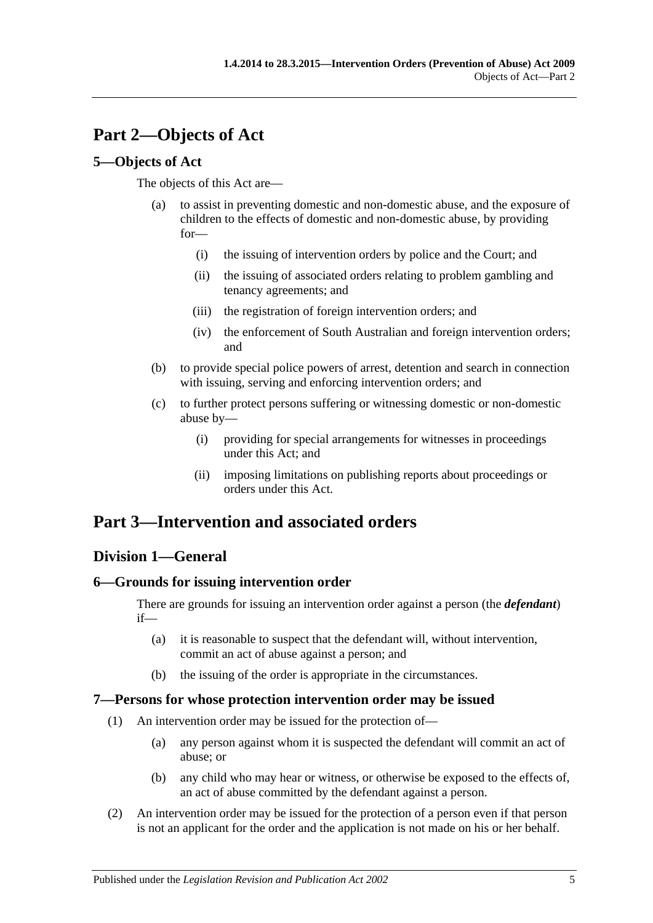# <span id="page-4-0"></span>**Part 2—Objects of Act**

## <span id="page-4-1"></span>**5—Objects of Act**

The objects of this Act are—

- (a) to assist in preventing domestic and non-domestic abuse, and the exposure of children to the effects of domestic and non-domestic abuse, by providing for—
	- (i) the issuing of intervention orders by police and the Court; and
	- (ii) the issuing of associated orders relating to problem gambling and tenancy agreements; and
	- (iii) the registration of foreign intervention orders; and
	- (iv) the enforcement of South Australian and foreign intervention orders; and
- (b) to provide special police powers of arrest, detention and search in connection with issuing, serving and enforcing intervention orders; and
- (c) to further protect persons suffering or witnessing domestic or non-domestic abuse by—
	- (i) providing for special arrangements for witnesses in proceedings under this Act; and
	- (ii) imposing limitations on publishing reports about proceedings or orders under this Act.

# <span id="page-4-2"></span>**Part 3—Intervention and associated orders**

## <span id="page-4-3"></span>**Division 1—General**

## <span id="page-4-4"></span>**6—Grounds for issuing intervention order**

There are grounds for issuing an intervention order against a person (the *defendant*) if—

- (a) it is reasonable to suspect that the defendant will, without intervention, commit an act of abuse against a person; and
- (b) the issuing of the order is appropriate in the circumstances.

## <span id="page-4-5"></span>**7—Persons for whose protection intervention order may be issued**

- (1) An intervention order may be issued for the protection of—
	- (a) any person against whom it is suspected the defendant will commit an act of abuse; or
	- (b) any child who may hear or witness, or otherwise be exposed to the effects of, an act of abuse committed by the defendant against a person.
- (2) An intervention order may be issued for the protection of a person even if that person is not an applicant for the order and the application is not made on his or her behalf.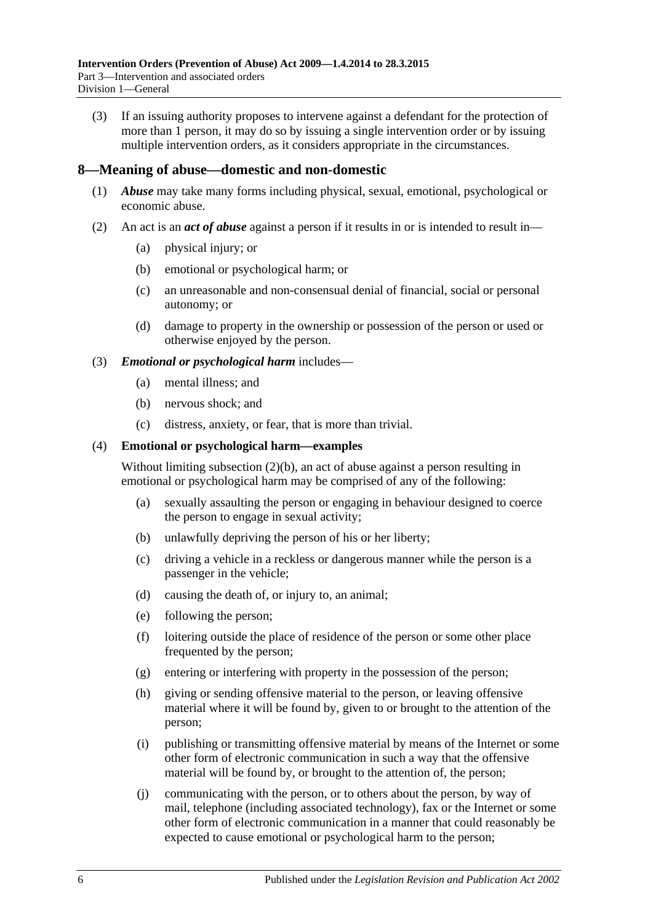(3) If an issuing authority proposes to intervene against a defendant for the protection of more than 1 person, it may do so by issuing a single intervention order or by issuing multiple intervention orders, as it considers appropriate in the circumstances.

#### <span id="page-5-0"></span>**8—Meaning of abuse—domestic and non-domestic**

- (1) *Abuse* may take many forms including physical, sexual, emotional, psychological or economic abuse.
- <span id="page-5-2"></span><span id="page-5-1"></span>(2) An act is an *act of abuse* against a person if it results in or is intended to result in—
	- (a) physical injury; or
	- (b) emotional or psychological harm; or
	- (c) an unreasonable and non-consensual denial of financial, social or personal autonomy; or
	- (d) damage to property in the ownership or possession of the person or used or otherwise enjoyed by the person.

#### (3) *Emotional or psychological harm* includes—

- (a) mental illness; and
- (b) nervous shock; and
- (c) distress, anxiety, or fear, that is more than trivial.

#### (4) **Emotional or psychological harm—examples**

Without limiting [subsection](#page-5-1) (2)(b), an act of abuse against a person resulting in emotional or psychological harm may be comprised of any of the following:

- (a) sexually assaulting the person or engaging in behaviour designed to coerce the person to engage in sexual activity;
- (b) unlawfully depriving the person of his or her liberty;
- (c) driving a vehicle in a reckless or dangerous manner while the person is a passenger in the vehicle;
- (d) causing the death of, or injury to, an animal;
- (e) following the person;
- (f) loitering outside the place of residence of the person or some other place frequented by the person;
- (g) entering or interfering with property in the possession of the person;
- (h) giving or sending offensive material to the person, or leaving offensive material where it will be found by, given to or brought to the attention of the person;
- (i) publishing or transmitting offensive material by means of the Internet or some other form of electronic communication in such a way that the offensive material will be found by, or brought to the attention of, the person;
- (j) communicating with the person, or to others about the person, by way of mail, telephone (including associated technology), fax or the Internet or some other form of electronic communication in a manner that could reasonably be expected to cause emotional or psychological harm to the person;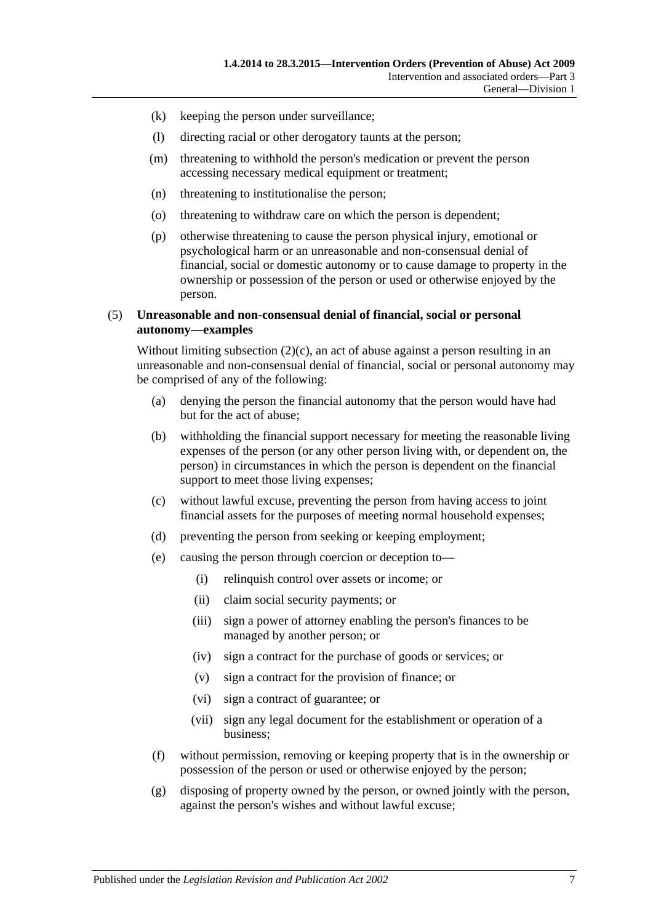- (k) keeping the person under surveillance;
- (l) directing racial or other derogatory taunts at the person;
- (m) threatening to withhold the person's medication or prevent the person accessing necessary medical equipment or treatment;
- (n) threatening to institutionalise the person;
- (o) threatening to withdraw care on which the person is dependent;
- (p) otherwise threatening to cause the person physical injury, emotional or psychological harm or an unreasonable and non-consensual denial of financial, social or domestic autonomy or to cause damage to property in the ownership or possession of the person or used or otherwise enjoyed by the person.

#### (5) **Unreasonable and non-consensual denial of financial, social or personal autonomy—examples**

Without limiting [subsection](#page-5-2)  $(2)(c)$ , an act of abuse against a person resulting in an unreasonable and non-consensual denial of financial, social or personal autonomy may be comprised of any of the following:

- (a) denying the person the financial autonomy that the person would have had but for the act of abuse;
- (b) withholding the financial support necessary for meeting the reasonable living expenses of the person (or any other person living with, or dependent on, the person) in circumstances in which the person is dependent on the financial support to meet those living expenses;
- (c) without lawful excuse, preventing the person from having access to joint financial assets for the purposes of meeting normal household expenses;
- (d) preventing the person from seeking or keeping employment;
- (e) causing the person through coercion or deception to—
	- (i) relinquish control over assets or income; or
	- (ii) claim social security payments; or
	- (iii) sign a power of attorney enabling the person's finances to be managed by another person; or
	- (iv) sign a contract for the purchase of goods or services; or
	- (v) sign a contract for the provision of finance; or
	- (vi) sign a contract of guarantee; or
	- (vii) sign any legal document for the establishment or operation of a business;
- (f) without permission, removing or keeping property that is in the ownership or possession of the person or used or otherwise enjoyed by the person;
- (g) disposing of property owned by the person, or owned jointly with the person, against the person's wishes and without lawful excuse;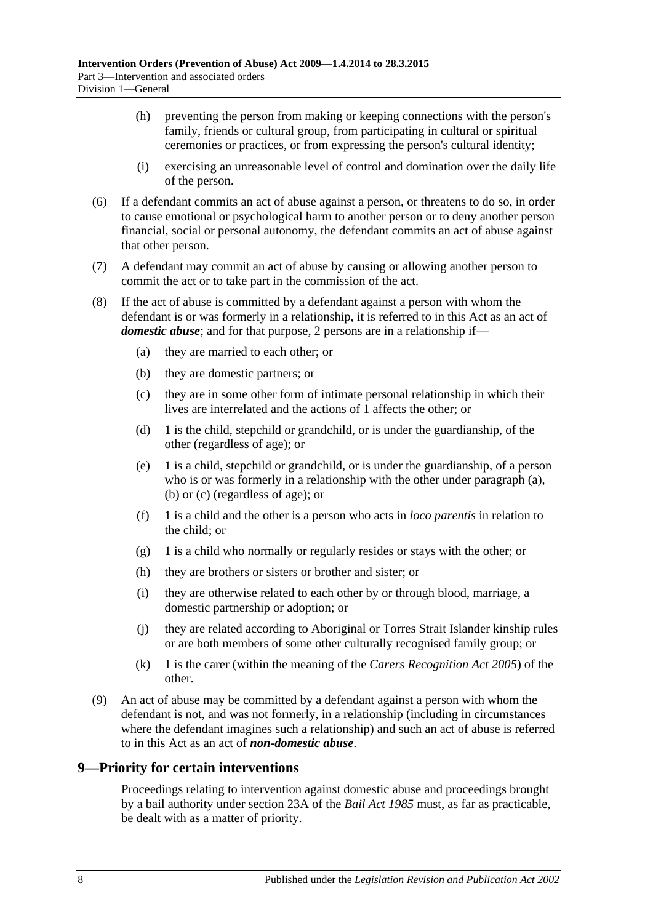- (h) preventing the person from making or keeping connections with the person's family, friends or cultural group, from participating in cultural or spiritual ceremonies or practices, or from expressing the person's cultural identity;
- (i) exercising an unreasonable level of control and domination over the daily life of the person.
- (6) If a defendant commits an act of abuse against a person, or threatens to do so, in order to cause emotional or psychological harm to another person or to deny another person financial, social or personal autonomy, the defendant commits an act of abuse against that other person.
- (7) A defendant may commit an act of abuse by causing or allowing another person to commit the act or to take part in the commission of the act.
- <span id="page-7-5"></span><span id="page-7-4"></span><span id="page-7-3"></span><span id="page-7-1"></span>(8) If the act of abuse is committed by a defendant against a person with whom the defendant is or was formerly in a relationship, it is referred to in this Act as an act of *domestic abuse*; and for that purpose, 2 persons are in a relationship if—
	- (a) they are married to each other; or
	- (b) they are domestic partners; or
	- (c) they are in some other form of intimate personal relationship in which their lives are interrelated and the actions of 1 affects the other; or
	- (d) 1 is the child, stepchild or grandchild, or is under the guardianship, of the other (regardless of age); or
	- (e) 1 is a child, stepchild or grandchild, or is under the guardianship, of a person who is or was formerly in a relationship with the other under [paragraph](#page-7-3) (a), [\(b\)](#page-7-4) or [\(c\)](#page-7-5) (regardless of age); or
	- (f) 1 is a child and the other is a person who acts in *loco parentis* in relation to the child; or
	- (g) 1 is a child who normally or regularly resides or stays with the other; or
	- (h) they are brothers or sisters or brother and sister; or
	- (i) they are otherwise related to each other by or through blood, marriage, a domestic partnership or adoption; or
	- (j) they are related according to Aboriginal or Torres Strait Islander kinship rules or are both members of some other culturally recognised family group; or
	- (k) 1 is the carer (within the meaning of the *[Carers Recognition Act](http://www.legislation.sa.gov.au/index.aspx?action=legref&type=act&legtitle=Carers%20Recognition%20Act%202005) 2005*) of the other.
- <span id="page-7-2"></span>(9) An act of abuse may be committed by a defendant against a person with whom the defendant is not, and was not formerly, in a relationship (including in circumstances where the defendant imagines such a relationship) and such an act of abuse is referred to in this Act as an act of *non-domestic abuse*.

## <span id="page-7-0"></span>**9—Priority for certain interventions**

Proceedings relating to intervention against domestic abuse and proceedings brought by a bail authority under section 23A of the *[Bail Act](http://www.legislation.sa.gov.au/index.aspx?action=legref&type=act&legtitle=Bail%20Act%201985) 1985* must, as far as practicable, be dealt with as a matter of priority.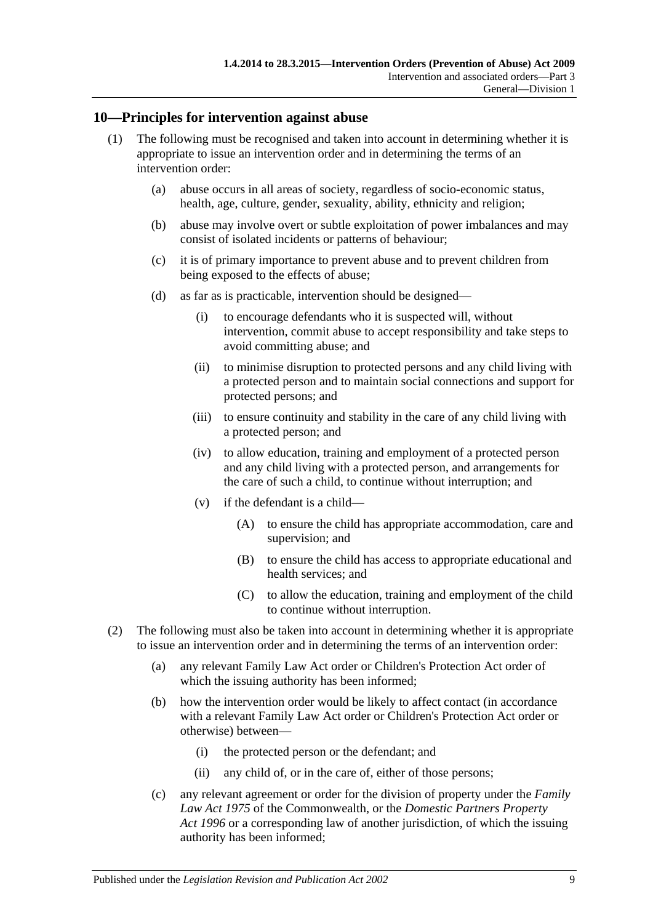#### <span id="page-8-0"></span>**10—Principles for intervention against abuse**

- (1) The following must be recognised and taken into account in determining whether it is appropriate to issue an intervention order and in determining the terms of an intervention order:
	- (a) abuse occurs in all areas of society, regardless of socio-economic status, health, age, culture, gender, sexuality, ability, ethnicity and religion;
	- (b) abuse may involve overt or subtle exploitation of power imbalances and may consist of isolated incidents or patterns of behaviour;
	- (c) it is of primary importance to prevent abuse and to prevent children from being exposed to the effects of abuse;
	- (d) as far as is practicable, intervention should be designed—
		- (i) to encourage defendants who it is suspected will, without intervention, commit abuse to accept responsibility and take steps to avoid committing abuse; and
		- (ii) to minimise disruption to protected persons and any child living with a protected person and to maintain social connections and support for protected persons; and
		- (iii) to ensure continuity and stability in the care of any child living with a protected person; and
		- (iv) to allow education, training and employment of a protected person and any child living with a protected person, and arrangements for the care of such a child, to continue without interruption; and
		- (v) if the defendant is a child—
			- (A) to ensure the child has appropriate accommodation, care and supervision; and
			- (B) to ensure the child has access to appropriate educational and health services; and
			- (C) to allow the education, training and employment of the child to continue without interruption.
- (2) The following must also be taken into account in determining whether it is appropriate to issue an intervention order and in determining the terms of an intervention order:
	- (a) any relevant Family Law Act order or Children's Protection Act order of which the issuing authority has been informed;
	- (b) how the intervention order would be likely to affect contact (in accordance with a relevant Family Law Act order or Children's Protection Act order or otherwise) between—
		- (i) the protected person or the defendant; and
		- (ii) any child of, or in the care of, either of those persons;
	- (c) any relevant agreement or order for the division of property under the *Family Law Act 1975* of the Commonwealth, or the *[Domestic Partners Property](http://www.legislation.sa.gov.au/index.aspx?action=legref&type=act&legtitle=Domestic%20Partners%20Property%20Act%201996)  Act [1996](http://www.legislation.sa.gov.au/index.aspx?action=legref&type=act&legtitle=Domestic%20Partners%20Property%20Act%201996)* or a corresponding law of another jurisdiction, of which the issuing authority has been informed;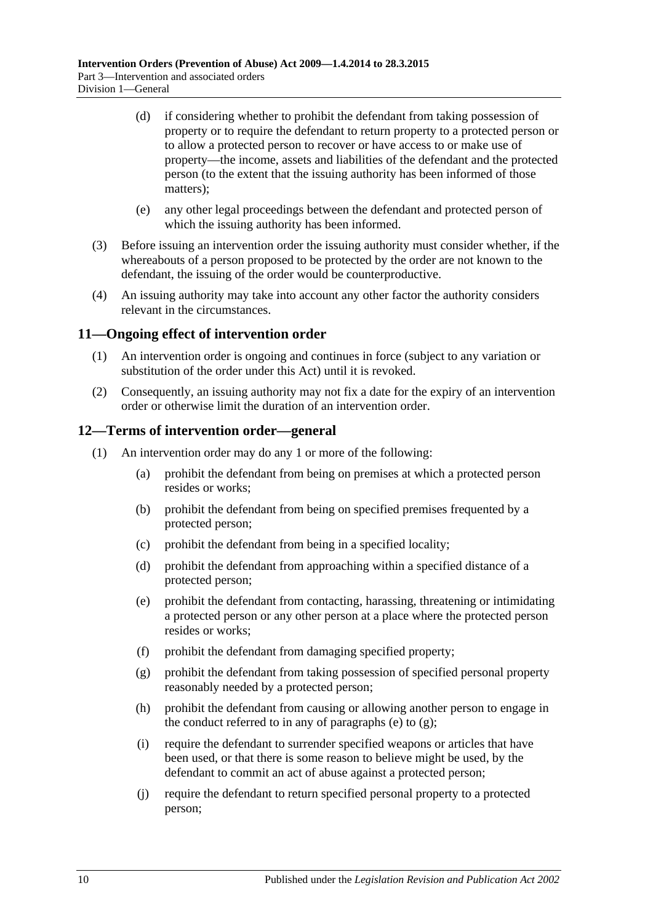- (d) if considering whether to prohibit the defendant from taking possession of property or to require the defendant to return property to a protected person or to allow a protected person to recover or have access to or make use of property—the income, assets and liabilities of the defendant and the protected person (to the extent that the issuing authority has been informed of those matters);
- (e) any other legal proceedings between the defendant and protected person of which the issuing authority has been informed.
- (3) Before issuing an intervention order the issuing authority must consider whether, if the whereabouts of a person proposed to be protected by the order are not known to the defendant, the issuing of the order would be counterproductive.
- (4) An issuing authority may take into account any other factor the authority considers relevant in the circumstances.

## <span id="page-9-0"></span>**11—Ongoing effect of intervention order**

- (1) An intervention order is ongoing and continues in force (subject to any variation or substitution of the order under this Act) until it is revoked.
- (2) Consequently, an issuing authority may not fix a date for the expiry of an intervention order or otherwise limit the duration of an intervention order.

#### <span id="page-9-1"></span>**12—Terms of intervention order—general**

- <span id="page-9-3"></span><span id="page-9-2"></span>(1) An intervention order may do any 1 or more of the following:
	- (a) prohibit the defendant from being on premises at which a protected person resides or works;
	- (b) prohibit the defendant from being on specified premises frequented by a protected person;
	- (c) prohibit the defendant from being in a specified locality;
	- (d) prohibit the defendant from approaching within a specified distance of a protected person;
	- (e) prohibit the defendant from contacting, harassing, threatening or intimidating a protected person or any other person at a place where the protected person resides or works;
	- (f) prohibit the defendant from damaging specified property;
	- (g) prohibit the defendant from taking possession of specified personal property reasonably needed by a protected person;
	- (h) prohibit the defendant from causing or allowing another person to engage in the conduct referred to in any of [paragraphs](#page-9-2) (e) to  $(g)$ ;
	- (i) require the defendant to surrender specified weapons or articles that have been used, or that there is some reason to believe might be used, by the defendant to commit an act of abuse against a protected person;
	- (j) require the defendant to return specified personal property to a protected person;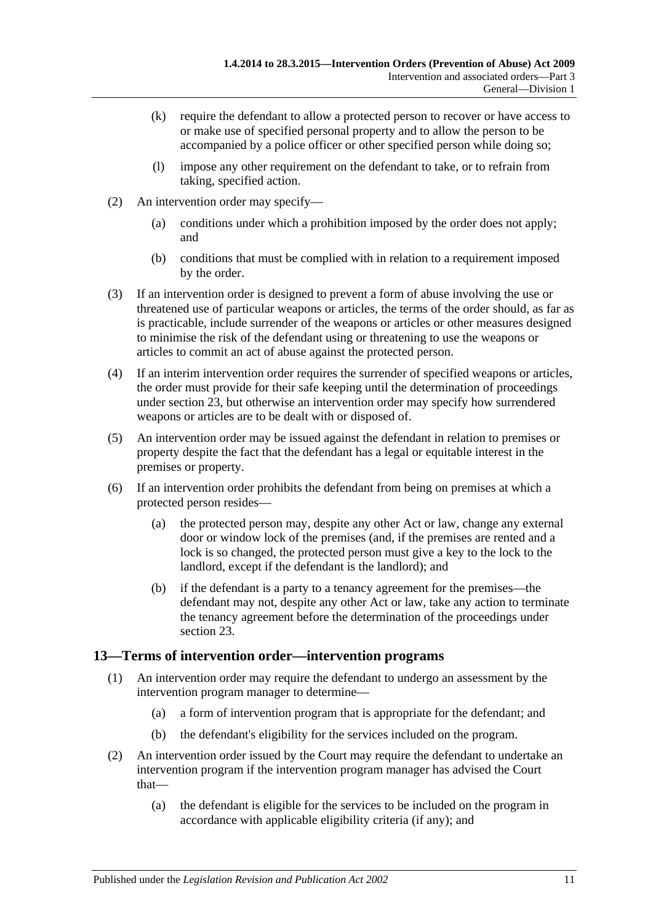- (k) require the defendant to allow a protected person to recover or have access to or make use of specified personal property and to allow the person to be accompanied by a police officer or other specified person while doing so;
- (l) impose any other requirement on the defendant to take, or to refrain from taking, specified action.
- (2) An intervention order may specify—
	- (a) conditions under which a prohibition imposed by the order does not apply; and
	- (b) conditions that must be complied with in relation to a requirement imposed by the order.
- (3) If an intervention order is designed to prevent a form of abuse involving the use or threatened use of particular weapons or articles, the terms of the order should, as far as is practicable, include surrender of the weapons or articles or other measures designed to minimise the risk of the defendant using or threatening to use the weapons or articles to commit an act of abuse against the protected person.
- (4) If an interim intervention order requires the surrender of specified weapons or articles, the order must provide for their safe keeping until the determination of proceedings under [section](#page-16-0) 23, but otherwise an intervention order may specify how surrendered weapons or articles are to be dealt with or disposed of.
- (5) An intervention order may be issued against the defendant in relation to premises or property despite the fact that the defendant has a legal or equitable interest in the premises or property.
- (6) If an intervention order prohibits the defendant from being on premises at which a protected person resides—
	- (a) the protected person may, despite any other Act or law, change any external door or window lock of the premises (and, if the premises are rented and a lock is so changed, the protected person must give a key to the lock to the landlord, except if the defendant is the landlord); and
	- (b) if the defendant is a party to a tenancy agreement for the premises—the defendant may not, despite any other Act or law, take any action to terminate the tenancy agreement before the determination of the proceedings under [section](#page-16-0) 23.

## <span id="page-10-0"></span>**13—Terms of intervention order—intervention programs**

- (1) An intervention order may require the defendant to undergo an assessment by the intervention program manager to determine—
	- (a) a form of intervention program that is appropriate for the defendant; and
	- (b) the defendant's eligibility for the services included on the program.
- (2) An intervention order issued by the Court may require the defendant to undertake an intervention program if the intervention program manager has advised the Court that—
	- (a) the defendant is eligible for the services to be included on the program in accordance with applicable eligibility criteria (if any); and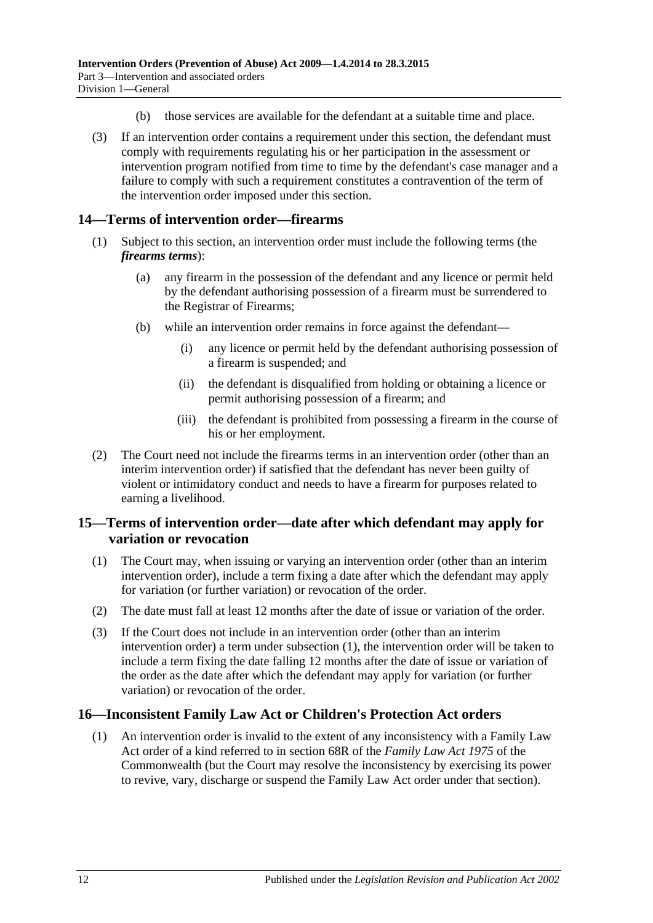- (b) those services are available for the defendant at a suitable time and place.
- (3) If an intervention order contains a requirement under this section, the defendant must comply with requirements regulating his or her participation in the assessment or intervention program notified from time to time by the defendant's case manager and a failure to comply with such a requirement constitutes a contravention of the term of the intervention order imposed under this section.

## <span id="page-11-0"></span>**14—Terms of intervention order—firearms**

- (1) Subject to this section, an intervention order must include the following terms (the *firearms terms*):
	- (a) any firearm in the possession of the defendant and any licence or permit held by the defendant authorising possession of a firearm must be surrendered to the Registrar of Firearms;
	- (b) while an intervention order remains in force against the defendant—
		- (i) any licence or permit held by the defendant authorising possession of a firearm is suspended; and
		- (ii) the defendant is disqualified from holding or obtaining a licence or permit authorising possession of a firearm; and
		- (iii) the defendant is prohibited from possessing a firearm in the course of his or her employment.
- (2) The Court need not include the firearms terms in an intervention order (other than an interim intervention order) if satisfied that the defendant has never been guilty of violent or intimidatory conduct and needs to have a firearm for purposes related to earning a livelihood.

## <span id="page-11-1"></span>**15—Terms of intervention order—date after which defendant may apply for variation or revocation**

- <span id="page-11-3"></span>(1) The Court may, when issuing or varying an intervention order (other than an interim intervention order), include a term fixing a date after which the defendant may apply for variation (or further variation) or revocation of the order.
- (2) The date must fall at least 12 months after the date of issue or variation of the order.
- (3) If the Court does not include in an intervention order (other than an interim intervention order) a term under [subsection](#page-11-3) (1), the intervention order will be taken to include a term fixing the date falling 12 months after the date of issue or variation of the order as the date after which the defendant may apply for variation (or further variation) or revocation of the order.

## <span id="page-11-2"></span>**16—Inconsistent Family Law Act or Children's Protection Act orders**

(1) An intervention order is invalid to the extent of any inconsistency with a Family Law Act order of a kind referred to in section 68R of the *Family Law Act 1975* of the Commonwealth (but the Court may resolve the inconsistency by exercising its power to revive, vary, discharge or suspend the Family Law Act order under that section).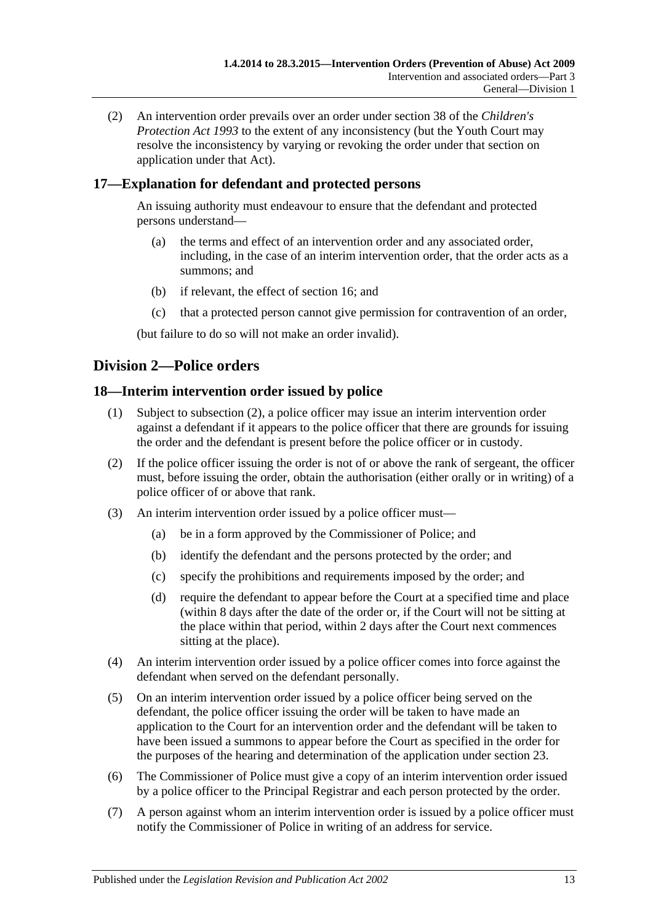(2) An intervention order prevails over an order under section 38 of the *[Children's](http://www.legislation.sa.gov.au/index.aspx?action=legref&type=act&legtitle=Childrens%20Protection%20Act%201993)  [Protection Act](http://www.legislation.sa.gov.au/index.aspx?action=legref&type=act&legtitle=Childrens%20Protection%20Act%201993) 1993* to the extent of any inconsistency (but the Youth Court may resolve the inconsistency by varying or revoking the order under that section on application under that Act).

## <span id="page-12-0"></span>**17—Explanation for defendant and protected persons**

An issuing authority must endeavour to ensure that the defendant and protected persons understand—

- (a) the terms and effect of an intervention order and any associated order, including, in the case of an interim intervention order, that the order acts as a summons; and
- (b) if relevant, the effect of [section](#page-11-2) 16; and
- (c) that a protected person cannot give permission for contravention of an order,

(but failure to do so will not make an order invalid).

## <span id="page-12-1"></span>**Division 2—Police orders**

## <span id="page-12-2"></span>**18—Interim intervention order issued by police**

- (1) Subject to [subsection](#page-12-3) (2), a police officer may issue an interim intervention order against a defendant if it appears to the police officer that there are grounds for issuing the order and the defendant is present before the police officer or in custody.
- <span id="page-12-3"></span>(2) If the police officer issuing the order is not of or above the rank of sergeant, the officer must, before issuing the order, obtain the authorisation (either orally or in writing) of a police officer of or above that rank.
- (3) An interim intervention order issued by a police officer must—
	- (a) be in a form approved by the Commissioner of Police; and
	- (b) identify the defendant and the persons protected by the order; and
	- (c) specify the prohibitions and requirements imposed by the order; and
	- (d) require the defendant to appear before the Court at a specified time and place (within 8 days after the date of the order or, if the Court will not be sitting at the place within that period, within 2 days after the Court next commences sitting at the place).
- (4) An interim intervention order issued by a police officer comes into force against the defendant when served on the defendant personally.
- (5) On an interim intervention order issued by a police officer being served on the defendant, the police officer issuing the order will be taken to have made an application to the Court for an intervention order and the defendant will be taken to have been issued a summons to appear before the Court as specified in the order for the purposes of the hearing and determination of the application under [section](#page-16-0) 23.
- (6) The Commissioner of Police must give a copy of an interim intervention order issued by a police officer to the Principal Registrar and each person protected by the order.
- <span id="page-12-4"></span>(7) A person against whom an interim intervention order is issued by a police officer must notify the Commissioner of Police in writing of an address for service.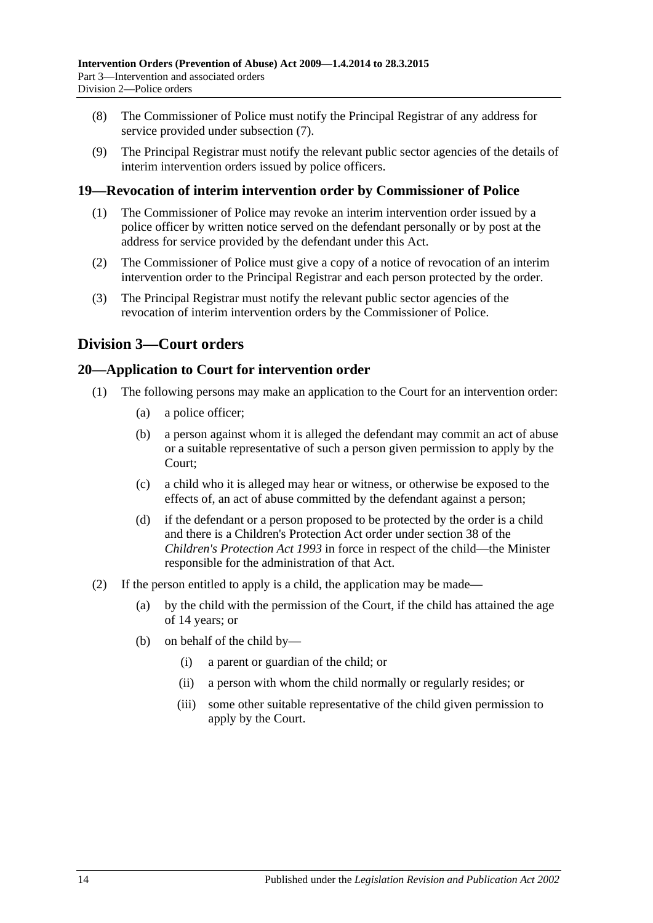- (8) The Commissioner of Police must notify the Principal Registrar of any address for service provided under [subsection](#page-12-4) (7).
- (9) The Principal Registrar must notify the relevant public sector agencies of the details of interim intervention orders issued by police officers.

## <span id="page-13-0"></span>**19—Revocation of interim intervention order by Commissioner of Police**

- (1) The Commissioner of Police may revoke an interim intervention order issued by a police officer by written notice served on the defendant personally or by post at the address for service provided by the defendant under this Act.
- (2) The Commissioner of Police must give a copy of a notice of revocation of an interim intervention order to the Principal Registrar and each person protected by the order.
- (3) The Principal Registrar must notify the relevant public sector agencies of the revocation of interim intervention orders by the Commissioner of Police.

## <span id="page-13-1"></span>**Division 3—Court orders**

## <span id="page-13-2"></span>**20—Application to Court for intervention order**

- (1) The following persons may make an application to the Court for an intervention order:
	- (a) a police officer;
	- (b) a person against whom it is alleged the defendant may commit an act of abuse or a suitable representative of such a person given permission to apply by the Court;
	- (c) a child who it is alleged may hear or witness, or otherwise be exposed to the effects of, an act of abuse committed by the defendant against a person;
	- (d) if the defendant or a person proposed to be protected by the order is a child and there is a Children's Protection Act order under section 38 of the *[Children's Protection Act](http://www.legislation.sa.gov.au/index.aspx?action=legref&type=act&legtitle=Childrens%20Protection%20Act%201993) 1993* in force in respect of the child—the Minister responsible for the administration of that Act.
- (2) If the person entitled to apply is a child, the application may be made—
	- (a) by the child with the permission of the Court, if the child has attained the age of 14 years; or
	- (b) on behalf of the child by—
		- (i) a parent or guardian of the child; or
		- (ii) a person with whom the child normally or regularly resides; or
		- (iii) some other suitable representative of the child given permission to apply by the Court.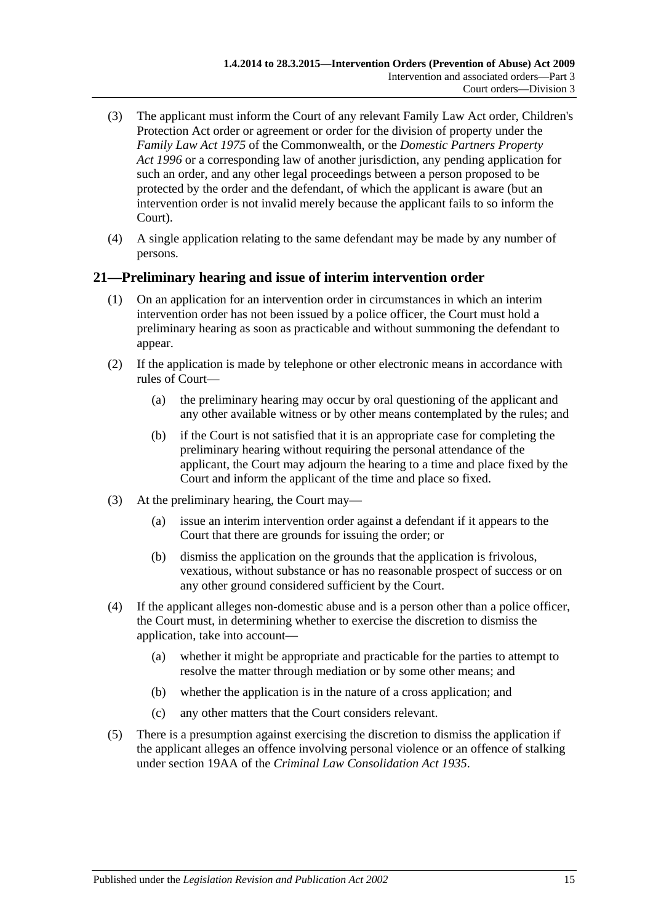- (3) The applicant must inform the Court of any relevant Family Law Act order, Children's Protection Act order or agreement or order for the division of property under the *Family Law Act 1975* of the Commonwealth, or the *[Domestic Partners Property](http://www.legislation.sa.gov.au/index.aspx?action=legref&type=act&legtitle=Domestic%20Partners%20Property%20Act%201996)  Act [1996](http://www.legislation.sa.gov.au/index.aspx?action=legref&type=act&legtitle=Domestic%20Partners%20Property%20Act%201996)* or a corresponding law of another jurisdiction, any pending application for such an order, and any other legal proceedings between a person proposed to be protected by the order and the defendant, of which the applicant is aware (but an intervention order is not invalid merely because the applicant fails to so inform the Court).
- (4) A single application relating to the same defendant may be made by any number of persons.

## <span id="page-14-0"></span>**21—Preliminary hearing and issue of interim intervention order**

- (1) On an application for an intervention order in circumstances in which an interim intervention order has not been issued by a police officer, the Court must hold a preliminary hearing as soon as practicable and without summoning the defendant to appear.
- (2) If the application is made by telephone or other electronic means in accordance with rules of Court—
	- (a) the preliminary hearing may occur by oral questioning of the applicant and any other available witness or by other means contemplated by the rules; and
	- (b) if the Court is not satisfied that it is an appropriate case for completing the preliminary hearing without requiring the personal attendance of the applicant, the Court may adjourn the hearing to a time and place fixed by the Court and inform the applicant of the time and place so fixed.
- (3) At the preliminary hearing, the Court may—
	- (a) issue an interim intervention order against a defendant if it appears to the Court that there are grounds for issuing the order; or
	- (b) dismiss the application on the grounds that the application is frivolous, vexatious, without substance or has no reasonable prospect of success or on any other ground considered sufficient by the Court.
- (4) If the applicant alleges non-domestic abuse and is a person other than a police officer, the Court must, in determining whether to exercise the discretion to dismiss the application, take into account—
	- (a) whether it might be appropriate and practicable for the parties to attempt to resolve the matter through mediation or by some other means; and
	- (b) whether the application is in the nature of a cross application; and
	- (c) any other matters that the Court considers relevant.
- (5) There is a presumption against exercising the discretion to dismiss the application if the applicant alleges an offence involving personal violence or an offence of stalking under section 19AA of the *[Criminal Law Consolidation Act](http://www.legislation.sa.gov.au/index.aspx?action=legref&type=act&legtitle=Criminal%20Law%20Consolidation%20Act%201935) 1935*.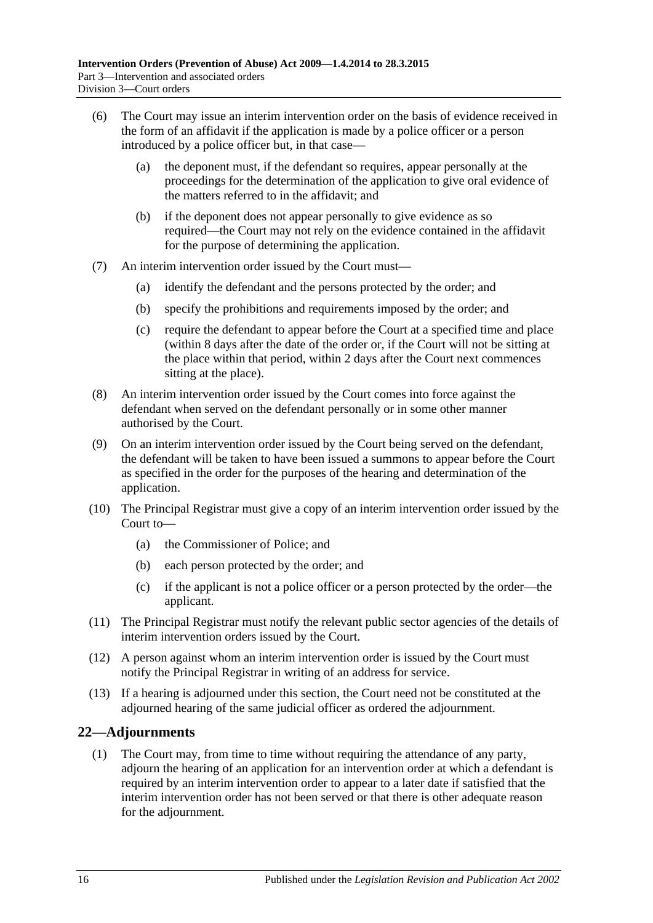- (6) The Court may issue an interim intervention order on the basis of evidence received in the form of an affidavit if the application is made by a police officer or a person introduced by a police officer but, in that case—
	- (a) the deponent must, if the defendant so requires, appear personally at the proceedings for the determination of the application to give oral evidence of the matters referred to in the affidavit; and
	- (b) if the deponent does not appear personally to give evidence as so required—the Court may not rely on the evidence contained in the affidavit for the purpose of determining the application.
- (7) An interim intervention order issued by the Court must—
	- (a) identify the defendant and the persons protected by the order; and
	- (b) specify the prohibitions and requirements imposed by the order; and
	- (c) require the defendant to appear before the Court at a specified time and place (within 8 days after the date of the order or, if the Court will not be sitting at the place within that period, within 2 days after the Court next commences sitting at the place).
- (8) An interim intervention order issued by the Court comes into force against the defendant when served on the defendant personally or in some other manner authorised by the Court.
- (9) On an interim intervention order issued by the Court being served on the defendant, the defendant will be taken to have been issued a summons to appear before the Court as specified in the order for the purposes of the hearing and determination of the application.
- (10) The Principal Registrar must give a copy of an interim intervention order issued by the Court to—
	- (a) the Commissioner of Police; and
	- (b) each person protected by the order; and
	- (c) if the applicant is not a police officer or a person protected by the order—the applicant.
- (11) The Principal Registrar must notify the relevant public sector agencies of the details of interim intervention orders issued by the Court.
- (12) A person against whom an interim intervention order is issued by the Court must notify the Principal Registrar in writing of an address for service.
- (13) If a hearing is adjourned under this section, the Court need not be constituted at the adjourned hearing of the same judicial officer as ordered the adjournment.

## <span id="page-15-0"></span>**22—Adjournments**

(1) The Court may, from time to time without requiring the attendance of any party, adjourn the hearing of an application for an intervention order at which a defendant is required by an interim intervention order to appear to a later date if satisfied that the interim intervention order has not been served or that there is other adequate reason for the adjournment.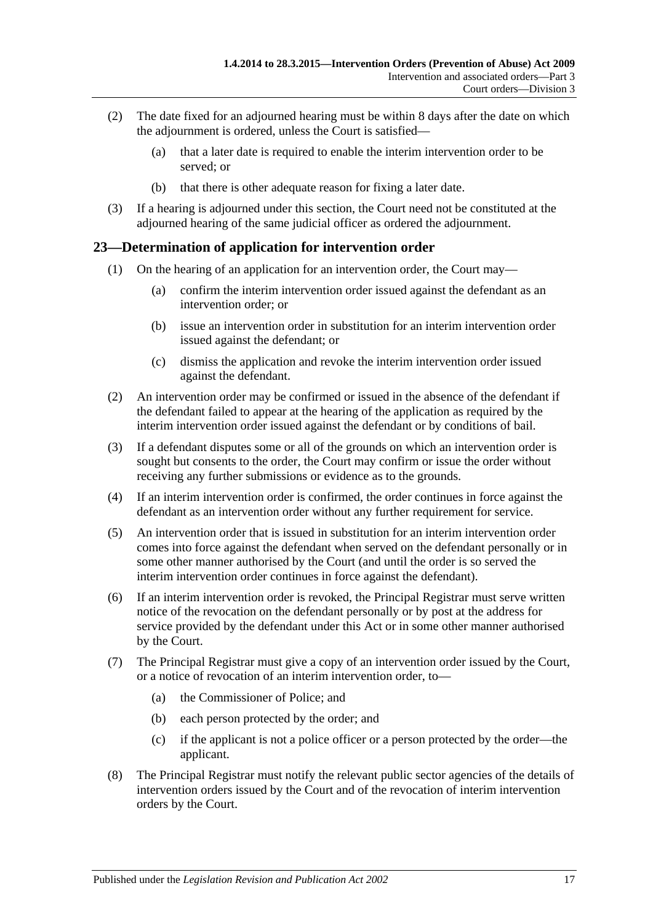- (2) The date fixed for an adjourned hearing must be within 8 days after the date on which the adjournment is ordered, unless the Court is satisfied—
	- (a) that a later date is required to enable the interim intervention order to be served; or
	- (b) that there is other adequate reason for fixing a later date.
- (3) If a hearing is adjourned under this section, the Court need not be constituted at the adjourned hearing of the same judicial officer as ordered the adjournment.

## <span id="page-16-0"></span>**23—Determination of application for intervention order**

- (1) On the hearing of an application for an intervention order, the Court may—
	- (a) confirm the interim intervention order issued against the defendant as an intervention order; or
	- (b) issue an intervention order in substitution for an interim intervention order issued against the defendant; or
	- (c) dismiss the application and revoke the interim intervention order issued against the defendant.
- (2) An intervention order may be confirmed or issued in the absence of the defendant if the defendant failed to appear at the hearing of the application as required by the interim intervention order issued against the defendant or by conditions of bail.
- (3) If a defendant disputes some or all of the grounds on which an intervention order is sought but consents to the order, the Court may confirm or issue the order without receiving any further submissions or evidence as to the grounds.
- (4) If an interim intervention order is confirmed, the order continues in force against the defendant as an intervention order without any further requirement for service.
- (5) An intervention order that is issued in substitution for an interim intervention order comes into force against the defendant when served on the defendant personally or in some other manner authorised by the Court (and until the order is so served the interim intervention order continues in force against the defendant).
- (6) If an interim intervention order is revoked, the Principal Registrar must serve written notice of the revocation on the defendant personally or by post at the address for service provided by the defendant under this Act or in some other manner authorised by the Court.
- (7) The Principal Registrar must give a copy of an intervention order issued by the Court, or a notice of revocation of an interim intervention order, to—
	- (a) the Commissioner of Police; and
	- (b) each person protected by the order; and
	- (c) if the applicant is not a police officer or a person protected by the order—the applicant.
- (8) The Principal Registrar must notify the relevant public sector agencies of the details of intervention orders issued by the Court and of the revocation of interim intervention orders by the Court.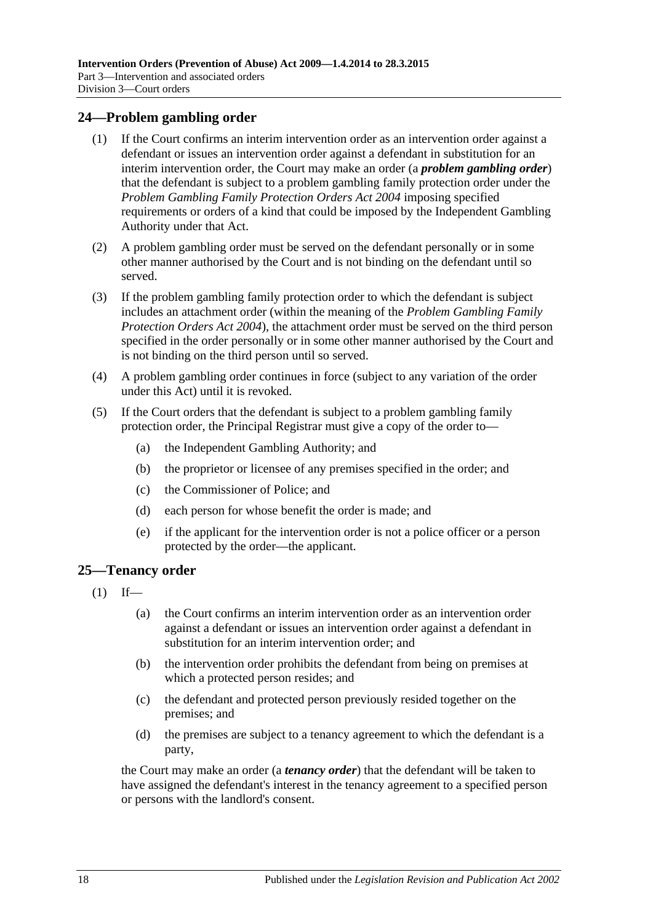#### <span id="page-17-0"></span>**24—Problem gambling order**

- (1) If the Court confirms an interim intervention order as an intervention order against a defendant or issues an intervention order against a defendant in substitution for an interim intervention order, the Court may make an order (a *problem gambling order*) that the defendant is subject to a problem gambling family protection order under the *[Problem Gambling Family Protection Orders Act](http://www.legislation.sa.gov.au/index.aspx?action=legref&type=act&legtitle=Problem%20Gambling%20Family%20Protection%20Orders%20Act%202004) 2004* imposing specified requirements or orders of a kind that could be imposed by the Independent Gambling Authority under that Act.
- (2) A problem gambling order must be served on the defendant personally or in some other manner authorised by the Court and is not binding on the defendant until so served.
- (3) If the problem gambling family protection order to which the defendant is subject includes an attachment order (within the meaning of the *[Problem Gambling Family](http://www.legislation.sa.gov.au/index.aspx?action=legref&type=act&legtitle=Problem%20Gambling%20Family%20Protection%20Orders%20Act%202004)  [Protection Orders Act](http://www.legislation.sa.gov.au/index.aspx?action=legref&type=act&legtitle=Problem%20Gambling%20Family%20Protection%20Orders%20Act%202004) 2004*), the attachment order must be served on the third person specified in the order personally or in some other manner authorised by the Court and is not binding on the third person until so served.
- (4) A problem gambling order continues in force (subject to any variation of the order under this Act) until it is revoked.
- (5) If the Court orders that the defendant is subject to a problem gambling family protection order, the Principal Registrar must give a copy of the order to—
	- (a) the Independent Gambling Authority; and
	- (b) the proprietor or licensee of any premises specified in the order; and
	- (c) the Commissioner of Police; and
	- (d) each person for whose benefit the order is made; and
	- (e) if the applicant for the intervention order is not a police officer or a person protected by the order—the applicant.

#### <span id="page-17-1"></span>**25—Tenancy order**

- $(1)$  If—
	- (a) the Court confirms an interim intervention order as an intervention order against a defendant or issues an intervention order against a defendant in substitution for an interim intervention order; and
	- (b) the intervention order prohibits the defendant from being on premises at which a protected person resides; and
	- (c) the defendant and protected person previously resided together on the premises; and
	- (d) the premises are subject to a tenancy agreement to which the defendant is a party,

the Court may make an order (a *tenancy order*) that the defendant will be taken to have assigned the defendant's interest in the tenancy agreement to a specified person or persons with the landlord's consent.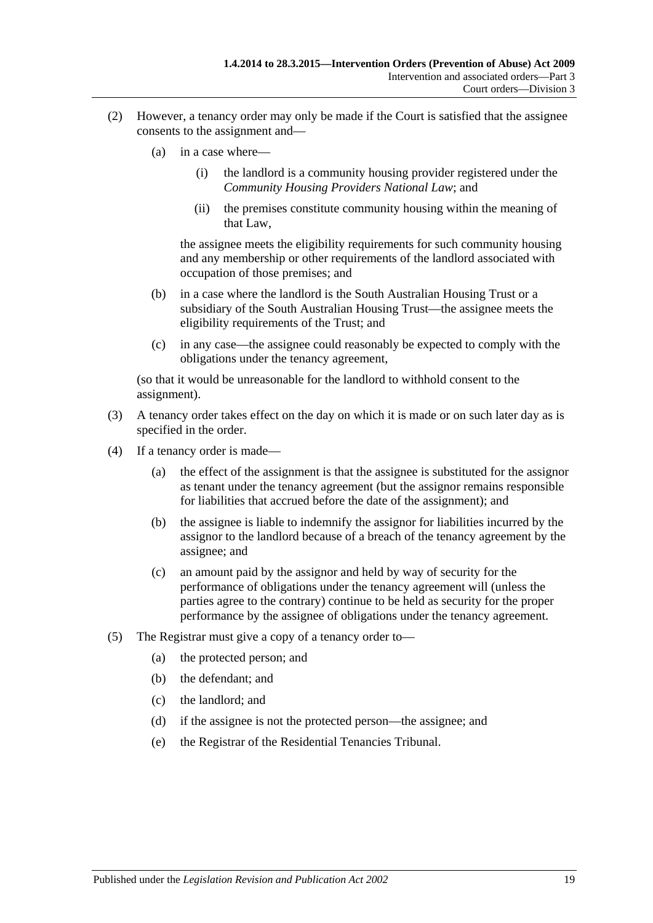- (2) However, a tenancy order may only be made if the Court is satisfied that the assignee consents to the assignment and—
	- (a) in a case where—
		- (i) the landlord is a community housing provider registered under the *Community Housing Providers National Law*; and
		- (ii) the premises constitute community housing within the meaning of that Law,

the assignee meets the eligibility requirements for such community housing and any membership or other requirements of the landlord associated with occupation of those premises; and

- (b) in a case where the landlord is the South Australian Housing Trust or a subsidiary of the South Australian Housing Trust—the assignee meets the eligibility requirements of the Trust; and
- (c) in any case—the assignee could reasonably be expected to comply with the obligations under the tenancy agreement,

(so that it would be unreasonable for the landlord to withhold consent to the assignment).

- (3) A tenancy order takes effect on the day on which it is made or on such later day as is specified in the order.
- (4) If a tenancy order is made—
	- (a) the effect of the assignment is that the assignee is substituted for the assignor as tenant under the tenancy agreement (but the assignor remains responsible for liabilities that accrued before the date of the assignment); and
	- (b) the assignee is liable to indemnify the assignor for liabilities incurred by the assignor to the landlord because of a breach of the tenancy agreement by the assignee; and
	- (c) an amount paid by the assignor and held by way of security for the performance of obligations under the tenancy agreement will (unless the parties agree to the contrary) continue to be held as security for the proper performance by the assignee of obligations under the tenancy agreement.
- (5) The Registrar must give a copy of a tenancy order to—
	- (a) the protected person; and
	- (b) the defendant; and
	- (c) the landlord; and
	- (d) if the assignee is not the protected person—the assignee; and
	- (e) the Registrar of the Residential Tenancies Tribunal.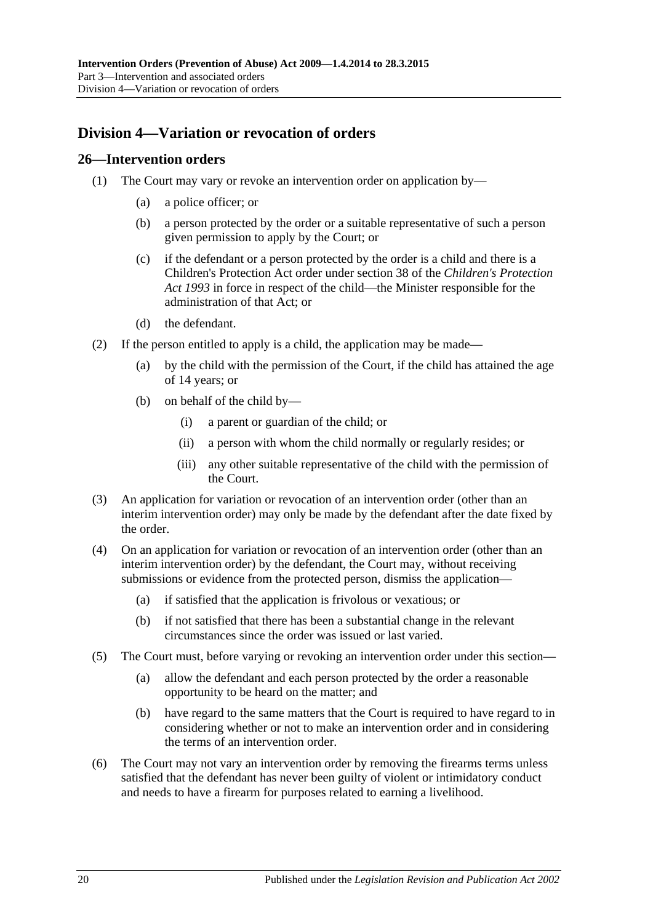## <span id="page-19-0"></span>**Division 4—Variation or revocation of orders**

#### <span id="page-19-1"></span>**26—Intervention orders**

- (1) The Court may vary or revoke an intervention order on application by—
	- (a) a police officer; or
	- (b) a person protected by the order or a suitable representative of such a person given permission to apply by the Court; or
	- (c) if the defendant or a person protected by the order is a child and there is a Children's Protection Act order under section 38 of the *[Children's Protection](http://www.legislation.sa.gov.au/index.aspx?action=legref&type=act&legtitle=Childrens%20Protection%20Act%201993)  Act [1993](http://www.legislation.sa.gov.au/index.aspx?action=legref&type=act&legtitle=Childrens%20Protection%20Act%201993)* in force in respect of the child—the Minister responsible for the administration of that Act; or
	- (d) the defendant.
- (2) If the person entitled to apply is a child, the application may be made—
	- (a) by the child with the permission of the Court, if the child has attained the age of 14 years; or
	- (b) on behalf of the child by—
		- (i) a parent or guardian of the child; or
		- (ii) a person with whom the child normally or regularly resides; or
		- (iii) any other suitable representative of the child with the permission of the Court.
- (3) An application for variation or revocation of an intervention order (other than an interim intervention order) may only be made by the defendant after the date fixed by the order.
- (4) On an application for variation or revocation of an intervention order (other than an interim intervention order) by the defendant, the Court may, without receiving submissions or evidence from the protected person, dismiss the application—
	- (a) if satisfied that the application is frivolous or vexatious; or
	- (b) if not satisfied that there has been a substantial change in the relevant circumstances since the order was issued or last varied.
- (5) The Court must, before varying or revoking an intervention order under this section—
	- (a) allow the defendant and each person protected by the order a reasonable opportunity to be heard on the matter; and
	- (b) have regard to the same matters that the Court is required to have regard to in considering whether or not to make an intervention order and in considering the terms of an intervention order.
- (6) The Court may not vary an intervention order by removing the firearms terms unless satisfied that the defendant has never been guilty of violent or intimidatory conduct and needs to have a firearm for purposes related to earning a livelihood.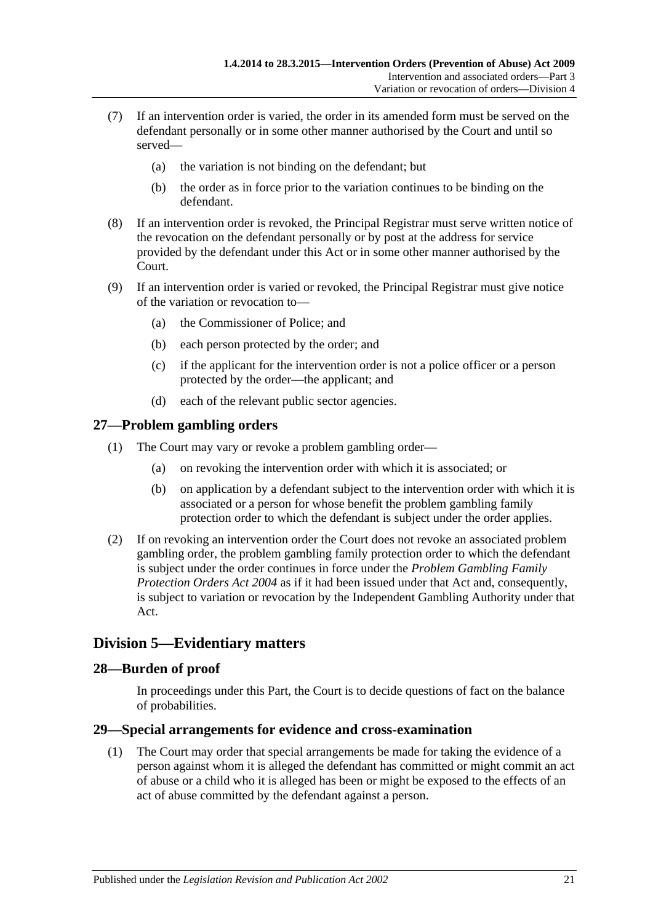- (7) If an intervention order is varied, the order in its amended form must be served on the defendant personally or in some other manner authorised by the Court and until so served—
	- (a) the variation is not binding on the defendant; but
	- (b) the order as in force prior to the variation continues to be binding on the defendant.
- (8) If an intervention order is revoked, the Principal Registrar must serve written notice of the revocation on the defendant personally or by post at the address for service provided by the defendant under this Act or in some other manner authorised by the Court.
- (9) If an intervention order is varied or revoked, the Principal Registrar must give notice of the variation or revocation to—
	- (a) the Commissioner of Police; and
	- (b) each person protected by the order; and
	- (c) if the applicant for the intervention order is not a police officer or a person protected by the order—the applicant; and
	- (d) each of the relevant public sector agencies.

## <span id="page-20-0"></span>**27—Problem gambling orders**

- (1) The Court may vary or revoke a problem gambling order—
	- (a) on revoking the intervention order with which it is associated; or
	- (b) on application by a defendant subject to the intervention order with which it is associated or a person for whose benefit the problem gambling family protection order to which the defendant is subject under the order applies.
- (2) If on revoking an intervention order the Court does not revoke an associated problem gambling order, the problem gambling family protection order to which the defendant is subject under the order continues in force under the *[Problem Gambling Family](http://www.legislation.sa.gov.au/index.aspx?action=legref&type=act&legtitle=Problem%20Gambling%20Family%20Protection%20Orders%20Act%202004)  [Protection Orders Act](http://www.legislation.sa.gov.au/index.aspx?action=legref&type=act&legtitle=Problem%20Gambling%20Family%20Protection%20Orders%20Act%202004) 2004* as if it had been issued under that Act and, consequently, is subject to variation or revocation by the Independent Gambling Authority under that Act.

## <span id="page-20-1"></span>**Division 5—Evidentiary matters**

#### <span id="page-20-2"></span>**28—Burden of proof**

In proceedings under this Part, the Court is to decide questions of fact on the balance of probabilities.

#### <span id="page-20-3"></span>**29—Special arrangements for evidence and cross-examination**

(1) The Court may order that special arrangements be made for taking the evidence of a person against whom it is alleged the defendant has committed or might commit an act of abuse or a child who it is alleged has been or might be exposed to the effects of an act of abuse committed by the defendant against a person.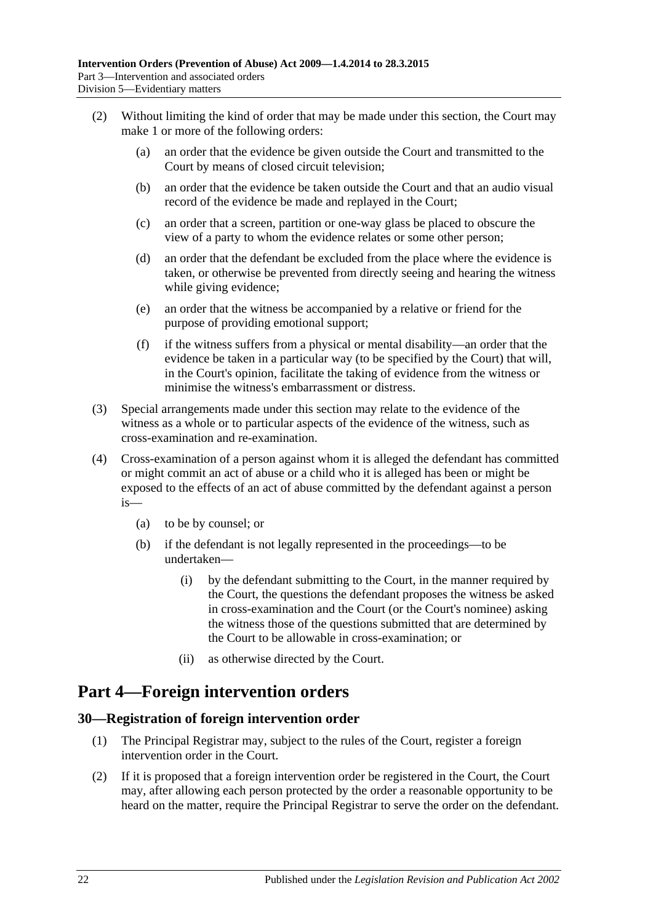- (2) Without limiting the kind of order that may be made under this section, the Court may make 1 or more of the following orders:
	- (a) an order that the evidence be given outside the Court and transmitted to the Court by means of closed circuit television;
	- (b) an order that the evidence be taken outside the Court and that an audio visual record of the evidence be made and replayed in the Court;
	- (c) an order that a screen, partition or one-way glass be placed to obscure the view of a party to whom the evidence relates or some other person;
	- (d) an order that the defendant be excluded from the place where the evidence is taken, or otherwise be prevented from directly seeing and hearing the witness while giving evidence;
	- (e) an order that the witness be accompanied by a relative or friend for the purpose of providing emotional support;
	- (f) if the witness suffers from a physical or mental disability—an order that the evidence be taken in a particular way (to be specified by the Court) that will, in the Court's opinion, facilitate the taking of evidence from the witness or minimise the witness's embarrassment or distress.
- (3) Special arrangements made under this section may relate to the evidence of the witness as a whole or to particular aspects of the evidence of the witness, such as cross-examination and re-examination.
- (4) Cross-examination of a person against whom it is alleged the defendant has committed or might commit an act of abuse or a child who it is alleged has been or might be exposed to the effects of an act of abuse committed by the defendant against a person is—
	- (a) to be by counsel; or
	- (b) if the defendant is not legally represented in the proceedings—to be undertaken—
		- (i) by the defendant submitting to the Court, in the manner required by the Court, the questions the defendant proposes the witness be asked in cross-examination and the Court (or the Court's nominee) asking the witness those of the questions submitted that are determined by the Court to be allowable in cross-examination; or
		- (ii) as otherwise directed by the Court.

# <span id="page-21-0"></span>**Part 4—Foreign intervention orders**

## <span id="page-21-1"></span>**30—Registration of foreign intervention order**

- (1) The Principal Registrar may, subject to the rules of the Court, register a foreign intervention order in the Court.
- (2) If it is proposed that a foreign intervention order be registered in the Court, the Court may, after allowing each person protected by the order a reasonable opportunity to be heard on the matter, require the Principal Registrar to serve the order on the defendant.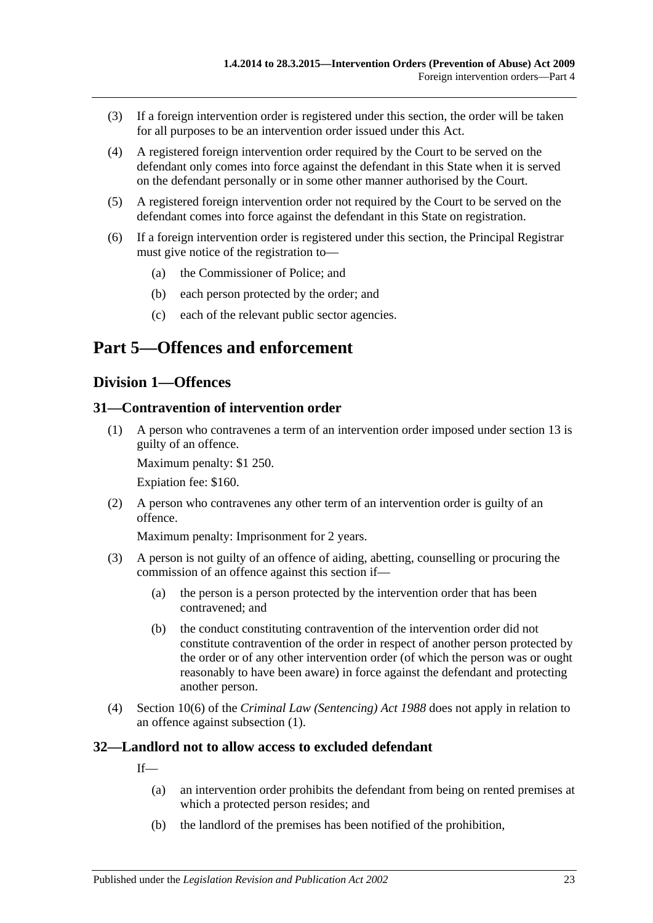- (3) If a foreign intervention order is registered under this section, the order will be taken for all purposes to be an intervention order issued under this Act.
- (4) A registered foreign intervention order required by the Court to be served on the defendant only comes into force against the defendant in this State when it is served on the defendant personally or in some other manner authorised by the Court.
- (5) A registered foreign intervention order not required by the Court to be served on the defendant comes into force against the defendant in this State on registration.
- (6) If a foreign intervention order is registered under this section, the Principal Registrar must give notice of the registration to—
	- (a) the Commissioner of Police; and
	- (b) each person protected by the order; and
	- (c) each of the relevant public sector agencies.

# <span id="page-22-1"></span><span id="page-22-0"></span>**Part 5—Offences and enforcement**

#### **Division 1—Offences**

#### <span id="page-22-4"></span><span id="page-22-2"></span>**31—Contravention of intervention order**

(1) A person who contravenes a term of an intervention order imposed under [section](#page-10-0) 13 is guilty of an offence.

Maximum penalty: \$1 250.

Expiation fee: \$160.

(2) A person who contravenes any other term of an intervention order is guilty of an offence.

Maximum penalty: Imprisonment for 2 years.

- (3) A person is not guilty of an offence of aiding, abetting, counselling or procuring the commission of an offence against this section if—
	- (a) the person is a person protected by the intervention order that has been contravened; and
	- (b) the conduct constituting contravention of the intervention order did not constitute contravention of the order in respect of another person protected by the order or of any other intervention order (of which the person was or ought reasonably to have been aware) in force against the defendant and protecting another person.
- (4) Section 10(6) of the *[Criminal Law \(Sentencing\) Act](http://www.legislation.sa.gov.au/index.aspx?action=legref&type=act&legtitle=Criminal%20Law%20(Sentencing)%20Act%201988) 1988* does not apply in relation to an offence against [subsection](#page-22-4) (1).

#### <span id="page-22-3"></span>**32—Landlord not to allow access to excluded defendant**

If—

- (a) an intervention order prohibits the defendant from being on rented premises at which a protected person resides; and
- (b) the landlord of the premises has been notified of the prohibition,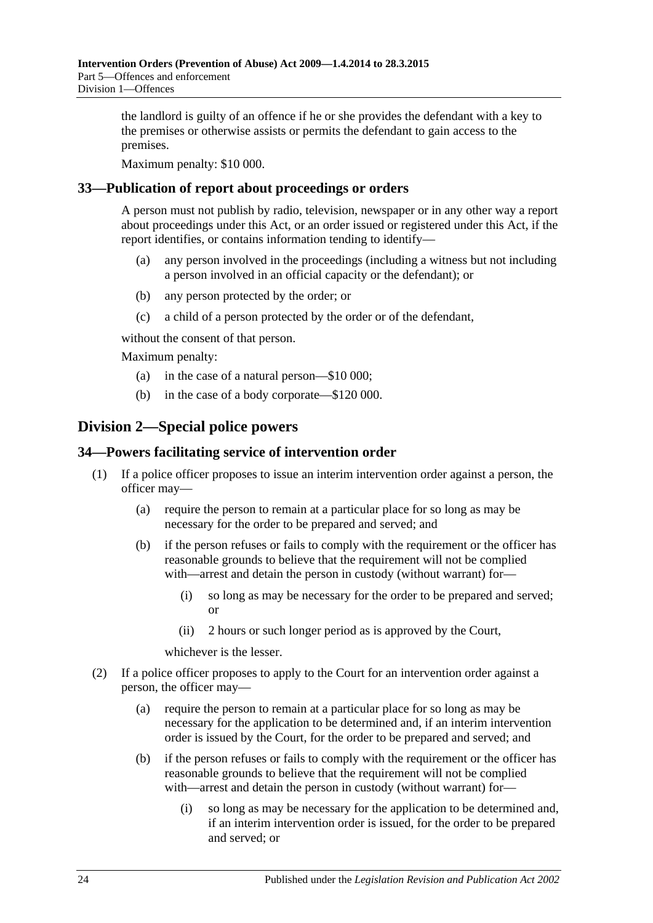the landlord is guilty of an offence if he or she provides the defendant with a key to the premises or otherwise assists or permits the defendant to gain access to the premises.

Maximum penalty: \$10 000.

#### <span id="page-23-0"></span>**33—Publication of report about proceedings or orders**

A person must not publish by radio, television, newspaper or in any other way a report about proceedings under this Act, or an order issued or registered under this Act, if the report identifies, or contains information tending to identify—

- (a) any person involved in the proceedings (including a witness but not including a person involved in an official capacity or the defendant); or
- (b) any person protected by the order; or
- (c) a child of a person protected by the order or of the defendant,

without the consent of that person.

Maximum penalty:

- (a) in the case of a natural person—\$10 000;
- (b) in the case of a body corporate—\$120 000.

## <span id="page-23-1"></span>**Division 2—Special police powers**

#### <span id="page-23-2"></span>**34—Powers facilitating service of intervention order**

- (1) If a police officer proposes to issue an interim intervention order against a person, the officer may—
	- (a) require the person to remain at a particular place for so long as may be necessary for the order to be prepared and served; and
	- (b) if the person refuses or fails to comply with the requirement or the officer has reasonable grounds to believe that the requirement will not be complied with—arrest and detain the person in custody (without warrant) for—
		- (i) so long as may be necessary for the order to be prepared and served; or
		- (ii) 2 hours or such longer period as is approved by the Court,

whichever is the lesser.

- (2) If a police officer proposes to apply to the Court for an intervention order against a person, the officer may—
	- (a) require the person to remain at a particular place for so long as may be necessary for the application to be determined and, if an interim intervention order is issued by the Court, for the order to be prepared and served; and
	- (b) if the person refuses or fails to comply with the requirement or the officer has reasonable grounds to believe that the requirement will not be complied with—arrest and detain the person in custody (without warrant) for—
		- (i) so long as may be necessary for the application to be determined and, if an interim intervention order is issued, for the order to be prepared and served; or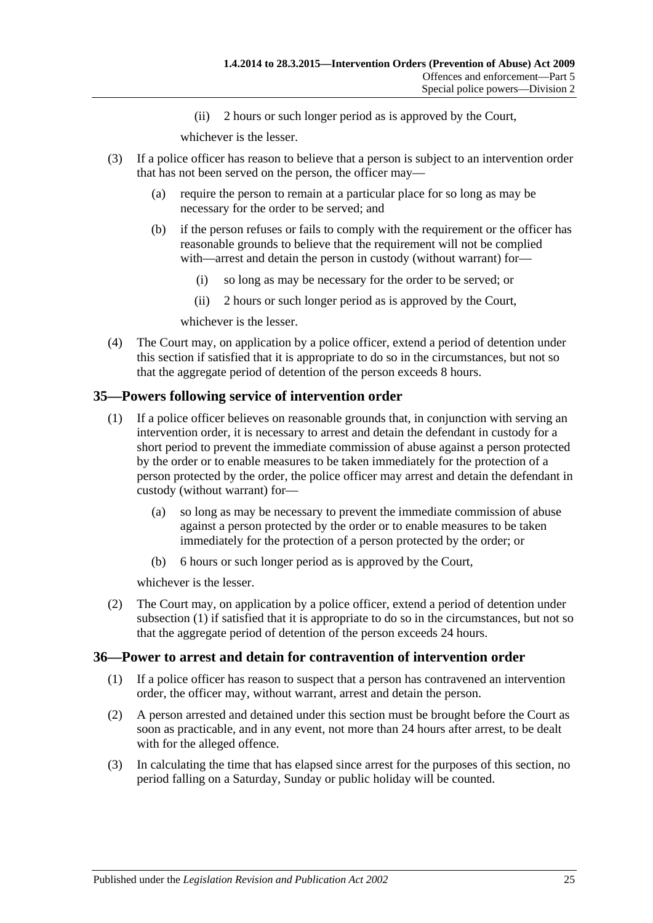(ii) 2 hours or such longer period as is approved by the Court,

whichever is the lesser.

- (3) If a police officer has reason to believe that a person is subject to an intervention order that has not been served on the person, the officer may—
	- (a) require the person to remain at a particular place for so long as may be necessary for the order to be served; and
	- (b) if the person refuses or fails to comply with the requirement or the officer has reasonable grounds to believe that the requirement will not be complied with—arrest and detain the person in custody (without warrant) for—
		- (i) so long as may be necessary for the order to be served; or
		- (ii) 2 hours or such longer period as is approved by the Court,

whichever is the lesser.

(4) The Court may, on application by a police officer, extend a period of detention under this section if satisfied that it is appropriate to do so in the circumstances, but not so that the aggregate period of detention of the person exceeds 8 hours.

## <span id="page-24-2"></span><span id="page-24-0"></span>**35—Powers following service of intervention order**

- (1) If a police officer believes on reasonable grounds that, in conjunction with serving an intervention order, it is necessary to arrest and detain the defendant in custody for a short period to prevent the immediate commission of abuse against a person protected by the order or to enable measures to be taken immediately for the protection of a person protected by the order, the police officer may arrest and detain the defendant in custody (without warrant) for—
	- (a) so long as may be necessary to prevent the immediate commission of abuse against a person protected by the order or to enable measures to be taken immediately for the protection of a person protected by the order; or
	- (b) 6 hours or such longer period as is approved by the Court,

whichever is the lesser.

(2) The Court may, on application by a police officer, extend a period of detention under [subsection](#page-24-2) (1) if satisfied that it is appropriate to do so in the circumstances, but not so that the aggregate period of detention of the person exceeds 24 hours.

## <span id="page-24-1"></span>**36—Power to arrest and detain for contravention of intervention order**

- (1) If a police officer has reason to suspect that a person has contravened an intervention order, the officer may, without warrant, arrest and detain the person.
- (2) A person arrested and detained under this section must be brought before the Court as soon as practicable, and in any event, not more than 24 hours after arrest, to be dealt with for the alleged offence.
- (3) In calculating the time that has elapsed since arrest for the purposes of this section, no period falling on a Saturday, Sunday or public holiday will be counted.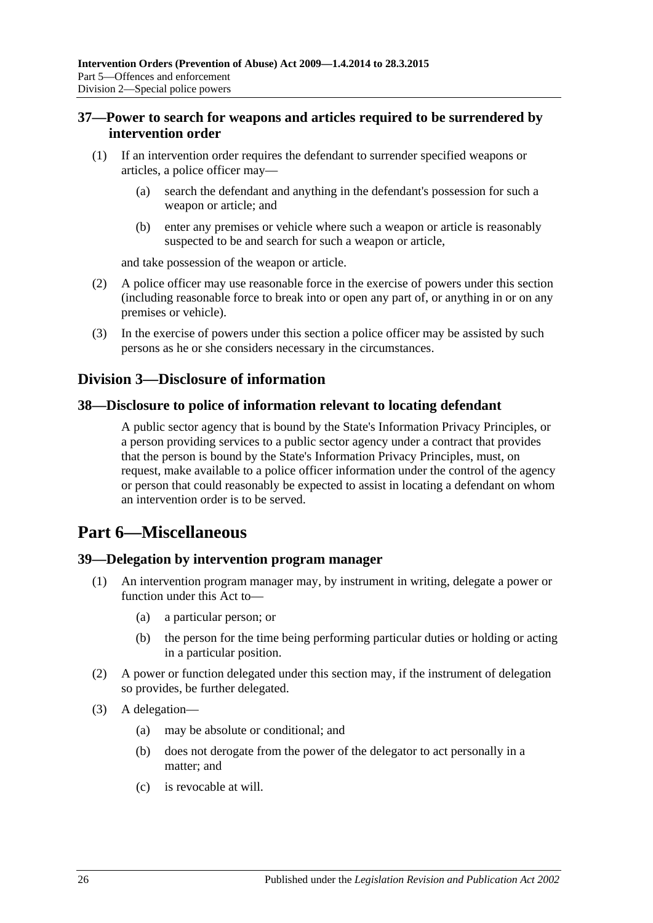## <span id="page-25-0"></span>**37—Power to search for weapons and articles required to be surrendered by intervention order**

- (1) If an intervention order requires the defendant to surrender specified weapons or articles, a police officer may—
	- (a) search the defendant and anything in the defendant's possession for such a weapon or article; and
	- (b) enter any premises or vehicle where such a weapon or article is reasonably suspected to be and search for such a weapon or article,

and take possession of the weapon or article.

- (2) A police officer may use reasonable force in the exercise of powers under this section (including reasonable force to break into or open any part of, or anything in or on any premises or vehicle).
- (3) In the exercise of powers under this section a police officer may be assisted by such persons as he or she considers necessary in the circumstances.

## <span id="page-25-1"></span>**Division 3—Disclosure of information**

#### <span id="page-25-2"></span>**38—Disclosure to police of information relevant to locating defendant**

A public sector agency that is bound by the State's Information Privacy Principles, or a person providing services to a public sector agency under a contract that provides that the person is bound by the State's Information Privacy Principles, must, on request, make available to a police officer information under the control of the agency or person that could reasonably be expected to assist in locating a defendant on whom an intervention order is to be served.

# <span id="page-25-3"></span>**Part 6—Miscellaneous**

#### <span id="page-25-4"></span>**39—Delegation by intervention program manager**

- (1) An intervention program manager may, by instrument in writing, delegate a power or function under this Act to—
	- (a) a particular person; or
	- (b) the person for the time being performing particular duties or holding or acting in a particular position.
- (2) A power or function delegated under this section may, if the instrument of delegation so provides, be further delegated.
- (3) A delegation—
	- (a) may be absolute or conditional; and
	- (b) does not derogate from the power of the delegator to act personally in a matter; and
	- (c) is revocable at will.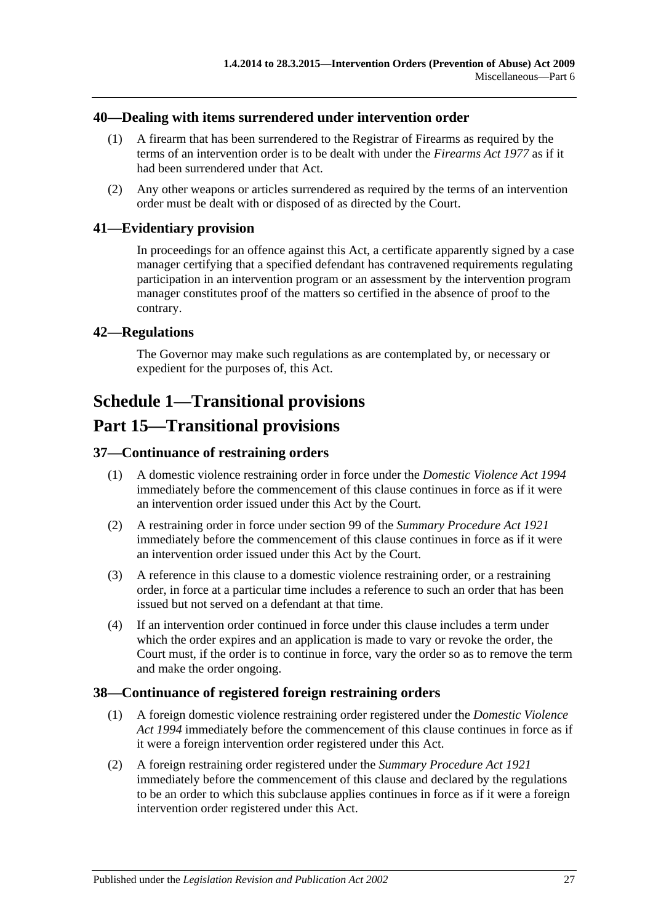#### <span id="page-26-0"></span>**40—Dealing with items surrendered under intervention order**

- (1) A firearm that has been surrendered to the Registrar of Firearms as required by the terms of an intervention order is to be dealt with under the *[Firearms Act](http://www.legislation.sa.gov.au/index.aspx?action=legref&type=act&legtitle=Firearms%20Act%201977) 1977* as if it had been surrendered under that Act.
- (2) Any other weapons or articles surrendered as required by the terms of an intervention order must be dealt with or disposed of as directed by the Court.

#### <span id="page-26-1"></span>**41—Evidentiary provision**

In proceedings for an offence against this Act, a certificate apparently signed by a case manager certifying that a specified defendant has contravened requirements regulating participation in an intervention program or an assessment by the intervention program manager constitutes proof of the matters so certified in the absence of proof to the contrary.

#### <span id="page-26-2"></span>**42—Regulations**

The Governor may make such regulations as are contemplated by, or necessary or expedient for the purposes of, this Act.

# <span id="page-26-3"></span>**Schedule 1—Transitional provisions**

# **Part 15—Transitional provisions**

## <span id="page-26-4"></span>**37—Continuance of restraining orders**

- (1) A domestic violence restraining order in force under the *[Domestic Violence Act](http://www.legislation.sa.gov.au/index.aspx?action=legref&type=act&legtitle=Domestic%20Violence%20Act%201994) 1994* immediately before the commencement of this clause continues in force as if it were an intervention order issued under this Act by the Court.
- (2) A restraining order in force under section 99 of the *[Summary Procedure Act](http://www.legislation.sa.gov.au/index.aspx?action=legref&type=act&legtitle=Summary%20Procedure%20Act%201921) 1921* immediately before the commencement of this clause continues in force as if it were an intervention order issued under this Act by the Court.
- (3) A reference in this clause to a domestic violence restraining order, or a restraining order, in force at a particular time includes a reference to such an order that has been issued but not served on a defendant at that time.
- (4) If an intervention order continued in force under this clause includes a term under which the order expires and an application is made to vary or revoke the order, the Court must, if the order is to continue in force, vary the order so as to remove the term and make the order ongoing.

## <span id="page-26-5"></span>**38—Continuance of registered foreign restraining orders**

- (1) A foreign domestic violence restraining order registered under the *[Domestic Violence](http://www.legislation.sa.gov.au/index.aspx?action=legref&type=act&legtitle=Domestic%20Violence%20Act%201994)  Act [1994](http://www.legislation.sa.gov.au/index.aspx?action=legref&type=act&legtitle=Domestic%20Violence%20Act%201994)* immediately before the commencement of this clause continues in force as if it were a foreign intervention order registered under this Act.
- (2) A foreign restraining order registered under the *[Summary Procedure Act](http://www.legislation.sa.gov.au/index.aspx?action=legref&type=act&legtitle=Summary%20Procedure%20Act%201921) 1921* immediately before the commencement of this clause and declared by the regulations to be an order to which this subclause applies continues in force as if it were a foreign intervention order registered under this Act.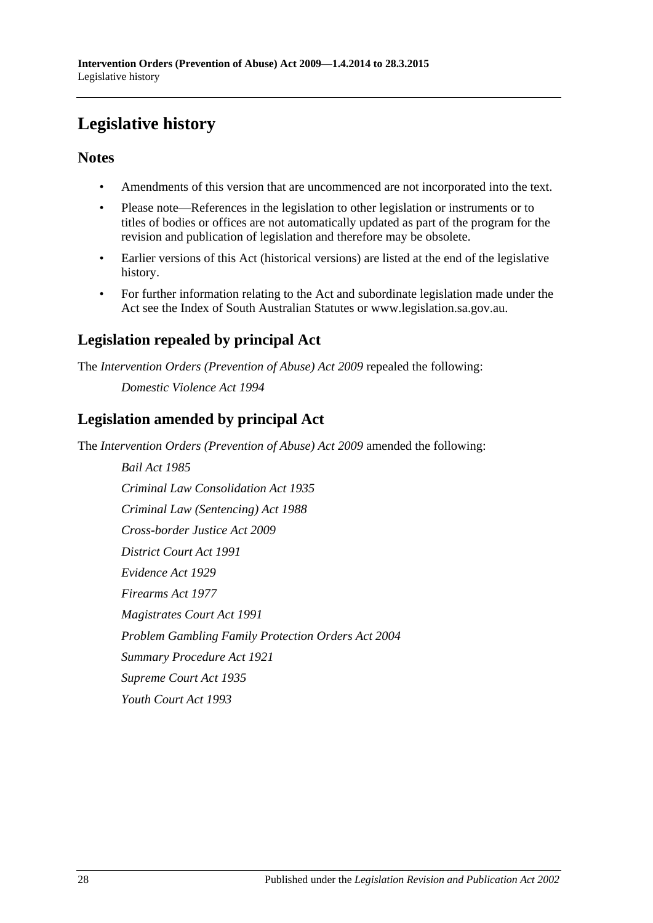# <span id="page-27-0"></span>**Legislative history**

## **Notes**

- Amendments of this version that are uncommenced are not incorporated into the text.
- Please note—References in the legislation to other legislation or instruments or to titles of bodies or offices are not automatically updated as part of the program for the revision and publication of legislation and therefore may be obsolete.
- Earlier versions of this Act (historical versions) are listed at the end of the legislative history.
- For further information relating to the Act and subordinate legislation made under the Act see the Index of South Australian Statutes or www.legislation.sa.gov.au.

# **Legislation repealed by principal Act**

The *Intervention Orders (Prevention of Abuse) Act 2009* repealed the following:

*Domestic Violence Act 1994*

# **Legislation amended by principal Act**

The *Intervention Orders (Prevention of Abuse) Act 2009* amended the following:

*Bail Act 1985 Criminal Law Consolidation Act 1935 Criminal Law (Sentencing) Act 1988 Cross-border Justice Act 2009 District Court Act 1991 Evidence Act 1929 Firearms Act 1977 Magistrates Court Act 1991 Problem Gambling Family Protection Orders Act 2004 Summary Procedure Act 1921 Supreme Court Act 1935 Youth Court Act 1993*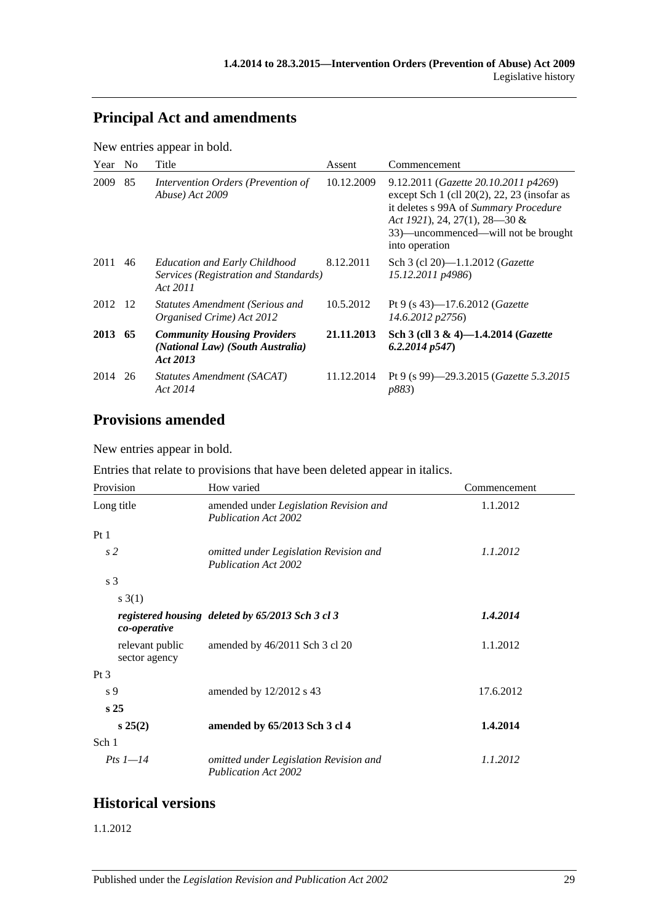# **Principal Act and amendments**

New entries appear in bold.

| Year    | N <sub>0</sub> | Title                                                                                     | Assent     | Commencement                                                                                                                                                                                                                |
|---------|----------------|-------------------------------------------------------------------------------------------|------------|-----------------------------------------------------------------------------------------------------------------------------------------------------------------------------------------------------------------------------|
| 2009    | 85             | Intervention Orders (Prevention of<br>Abuse) Act 2009                                     | 10.12.2009 | 9.12.2011 (Gazette 20.10.2011 p4269)<br>except Sch $1$ (cll $20(2)$ , 22, 23 (insofar as<br>it deletes s 99A of Summary Procedure<br>Act 1921), 24, 27(1), 28–30 &<br>33)—uncommenced—will not be brought<br>into operation |
| 2011    | 46             | <b>Education and Early Childhood</b><br>Services (Registration and Standards)<br>Act 2011 | 8.12.2011  | Sch 3 (cl 20)-1.1.2012 ( <i>Gazette</i><br>15.12.2011 p4986)                                                                                                                                                                |
| 2012 12 |                | <b>Statutes Amendment (Serious and</b><br>Organised Crime) Act 2012                       | 10.5.2012  | Pt 9 (s 43)—17.6.2012 ( <i>Gazette</i><br>14.6.2012 p2756)                                                                                                                                                                  |
| 2013 65 |                | <b>Community Housing Providers</b><br>(National Law) (South Australia)<br>Act 2013        | 21.11.2013 | Sch 3 (cll 3 & 4)-1.4.2014 ( <i>Gazette</i><br>6.2.2014p547                                                                                                                                                                 |
| 2014    | 26             | Statutes Amendment (SACAT)<br>Act 2014                                                    | 11.12.2014 | Pt 9 (s 99)—29.3.2015 ( <i>Gazette 5.3.2015</i><br><i>p883</i> )                                                                                                                                                            |

# **Provisions amended**

New entries appear in bold.

Entries that relate to provisions that have been deleted appear in italics.

| Provision                        | How varied                                                            | Commencement |
|----------------------------------|-----------------------------------------------------------------------|--------------|
| Long title                       | amended under Legislation Revision and<br><b>Publication Act 2002</b> | 1.1.2012     |
| Pt1                              |                                                                       |              |
| s <sub>2</sub>                   | omitted under Legislation Revision and<br><b>Publication Act 2002</b> | 1.1.2012     |
| s 3                              |                                                                       |              |
| s(1)                             |                                                                       |              |
| co-operative                     | registered housing deleted by 65/2013 Sch 3 cl 3                      | 1.4.2014     |
| relevant public<br>sector agency | amended by 46/2011 Sch 3 cl 20                                        | 1.1.2012     |
| $Pt\,3$                          |                                                                       |              |
| s <sub>9</sub>                   | amended by 12/2012 s 43                                               | 17.6.2012    |
| s <sub>25</sub>                  |                                                                       |              |
| $s\,25(2)$                       | amended by 65/2013 Sch 3 cl 4                                         | 1.4.2014     |
| Sch 1                            |                                                                       |              |
| Pts $1-14$                       | omitted under Legislation Revision and<br><b>Publication Act 2002</b> | 1.1.2012     |

## **Historical versions**

1.1.2012